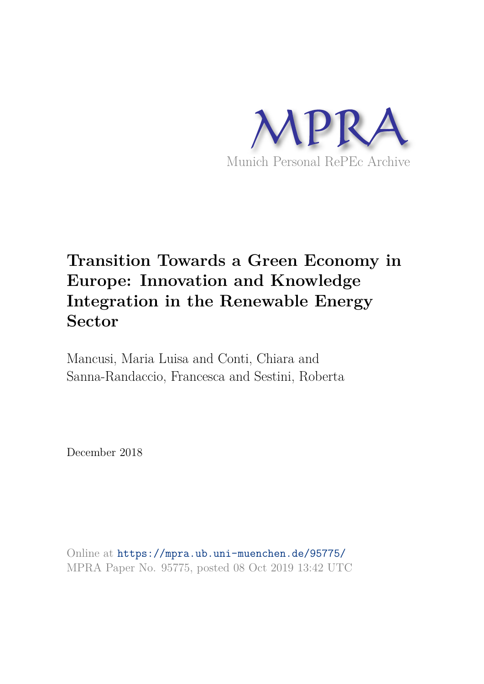

## **Transition Towards a Green Economy in Europe: Innovation and Knowledge Integration in the Renewable Energy Sector**

Mancusi, Maria Luisa and Conti, Chiara and Sanna-Randaccio, Francesca and Sestini, Roberta

December 2018

Online at https://mpra.ub.uni-muenchen.de/95775/ MPRA Paper No. 95775, posted 08 Oct 2019 13:42 UTC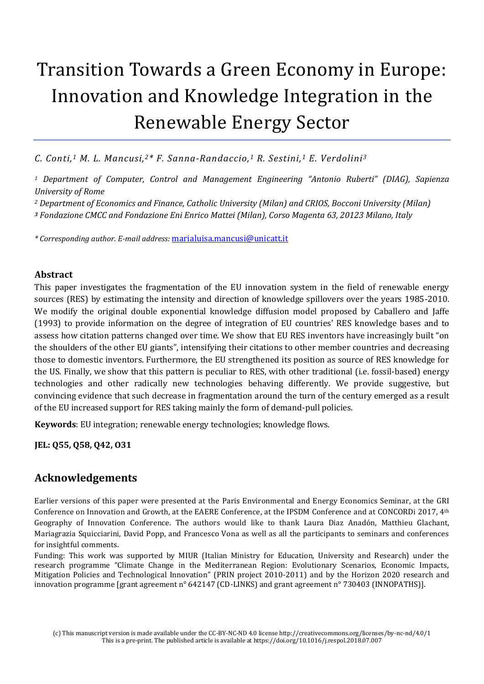# Transition Towards a Green Economy in Europe: Innovation and Knowledge Integration in the Renewable Energy Sector

*C. Conti,1 M. L. Mancusi,2\* F. Sanna-Randaccio,1 R. Sestini,1 E. Verdolini<sup>3</sup>*

*<sup>1</sup> Department of Computer, Control and Management Engineering "Antonio Ruberti" (DIAG), Sapienza University of Rome* 

*<sup>2</sup> Department of Economics and Finance, Catholic University (Milan) and CRIOS, Bocconi University (Milan)* 

*<sup>3</sup> Fondazione CMCC and Fondazione Eni Enrico Mattei (Milan), Corso Magenta 63, 20123 Milano, Italy* 

*\* Corresponding author. E-mail address:* [marialuisa.mancusi@unicatt.it](mailto:marialuisa.mancusi@unicatt.it)

#### **Abstract**

This paper investigates the fragmentation of the EU innovation system in the field of renewable energy sources (RES) by estimating the intensity and direction of knowledge spillovers over the years 1985-2010. We modify the original double exponential knowledge diffusion model proposed by Caballero and Jaffe (1993) to provide information on the degree of integration of EU countries' RES knowledge bases and to assess how citation patterns changed over time. We show that EU RES inventors have increasingly built "on the shoulders of the other EU giants", intensifying their citations to other member countries and decreasing those to domestic inventors. Furthermore, the EU strengthened its position as source of RES knowledge for the US. Finally, we show that this pattern is peculiar to RES, with other traditional (i.e. fossil-based) energy technologies and other radically new technologies behaving differently. We provide suggestive, but convincing evidence that such decrease in fragmentation around the turn of the century emerged as a result of the EU increased support for RES taking mainly the form of demand-pull policies.

**Keywords**: EU integration; renewable energy technologies; knowledge flows.

**JEL: Q55, Q58, Q42, O31** 

#### **Acknowledgements**

Earlier versions of this paper were presented at the Paris Environmental and Energy Economics Seminar, at the GRI Conference on Innovation and Growth, at the EAERE Conference, at the IPSDM Conference and at CONCORDi 2017, 4<sup>th</sup> Geography of Innovation Conference. The authors would like to thank Laura Diaz Anadón, Matthieu Glachant, Mariagrazia Squicciarini, David Popp, and Francesco Vona as well as all the participants to seminars and conferences for insightful comments.

Funding: This work was supported by MIUR (Italian Ministry for Education, University and Research) under the research programme "Climate Change in the Mediterranean Region: Evolutionary Scenarios, Economic Impacts, Mitigation Policies and Technological Innovation" (PRIN project 2010-2011) and by the Horizon 2020 research and innovation programme [grant agreement n° 642147 (CD-LINKS) and grant agreement n° 730403 (INNOPATHS)].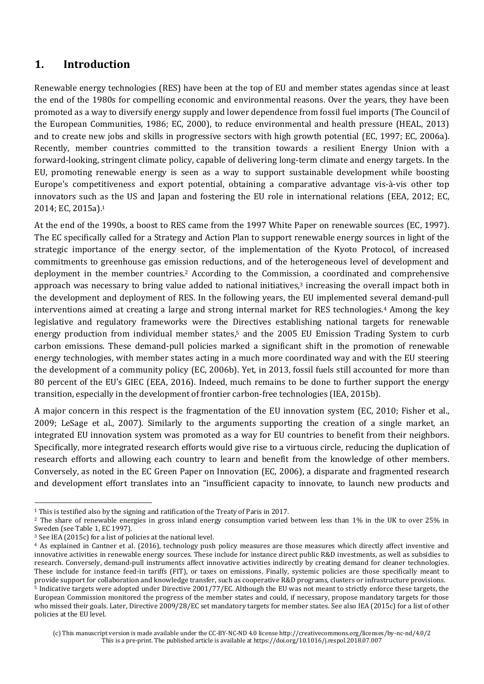#### **1. Introduction**

Renewable energy technologies (RES) have been at the top of EU and member states agendas since at least the end of the 1980s for compelling economic and environmental reasons. Over the years, they have been promoted as a way to diversify energy supply and lower dependence from fossil fuel imports (The Council of the European Communities, 1986; EC, 2000), to reduce environmental and health pressure (HEAL, 2013) and to create new jobs and skills in progressive sectors with high growth potential (EC, 1997; EC, 2006a). Recently, member countries committed to the transition towards a resilient Energy Union with a forward‑looking, stringent climate policy, capable of delivering long-term climate and energy targets. In the EU, promoting renewable energy is seen as a way to support sustainable development while boosting Europe's competitiveness and export potential, obtaining a comparative advantage vis-à-vis other top innovators such as the US and Japan and fostering the EU role in international relations (EEA, 2012; EC, 2014; EC, 2015a).<sup>1</sup>

At the end of the 1990s, a boost to RES came from the 1997 White Paper on renewable sources (EC, 1997). The EC specifically called for a Strategy and Action Plan to support renewable energy sources in light of the strategic importance of the energy sector, of the implementation of the Kyoto Protocol, of increased commitments to greenhouse gas emission reductions, and of the heterogeneous level of development and deployment in the member countries.2 According to the Commission, a coordinated and comprehensive approach was necessary to bring value added to national initiatives, $3$  increasing the overall impact both in the development and deployment of RES. In the following years, the EU implemented several demand-pull interventions aimed at creating a large and strong internal market for RES technologies.4 Among the key legislative and regulatory frameworks were the Directives establishing national targets for renewable energy production from individual member states,<sup>5</sup> and the 2005 EU Emission Trading System to curb carbon emissions. These demand-pull policies marked a significant shift in the promotion of renewable energy technologies, with member states acting in a much more coordinated way and with the EU steering the development of a community policy (EC, 2006b). Yet, in 2013, fossil fuels still accounted for more than 80 percent of the EU's GIEC (EEA, 2016). Indeed, much remains to be done to further support the energy transition, especially in the development of frontier carbon-free technologies (IEA, 2015b).

A major concern in this respect is the fragmentation of the EU innovation system (EC, 2010; Fisher et al., 2009; LeSage et al., 2007). Similarly to the arguments supporting the creation of a single market, an integrated EU innovation system was promoted as a way for EU countries to benefit from their neighbors. Specifically, more integrated research efforts would give rise to a virtuous circle, reducing the duplication of research efforts and allowing each country to learn and benefit from the knowledge of other members. Conversely, as noted in the EC Green Paper on Innovation (EC, 2006), a disparate and fragmented research and development effort translates into an "insufficient capacity to innovate, to launch new products and

 $\overline{a}$ 

<sup>1</sup> This is testified also by the signing and ratification of the Treaty of Paris in 2017.

<sup>2</sup> The share of renewable energies in gross inland energy consumption varied between less than 1% in the UK to over 25% in Sweden (see Table 1, EC 1997).

<sup>3</sup> See IEA (2015c) for a list of policies at the national level.

<sup>4</sup> As explained in Cantner et al. (2016), technology push policy measures are those measures which directly affect inventive and innovative activities in renewable energy sources. These include for instance direct public R&D investments, as well as subsidies to research. Conversely, demand-pull instruments affect innovative activities indirectly by creating demand for cleaner technologies. These include for instance feed-in tariffs (FIT), or taxes on emissions. Finally, systemic policies are those specifically meant to provide support for collaboration and knowledge transfer, such as cooperative R&D programs, clusters or infrastructure provisions. <sup>5</sup> Indicative targets were adopted under Directive 2001/77/EC. Although the EU was not meant to strictly enforce these targets, the [European Commission](https://en.wikipedia.org/wiki/European_Commission) monitored the progress of the member states and could, if necessary, propose mandatory targets for those who missed their goals. Later, Directive 2009/28/EC set mandatory targets for member states. See also IEA (2015c) for a list of other policies at the EU level.

<sup>(</sup>c) This manuscript version is made available under the CC-BY-NC-ND 4.0 license http://creativecommons.org/licenses/by-nc-nd/4.0/2 This is a pre-print. The published article is available at https://doi.org/10.1016/j.respol.2018.07.007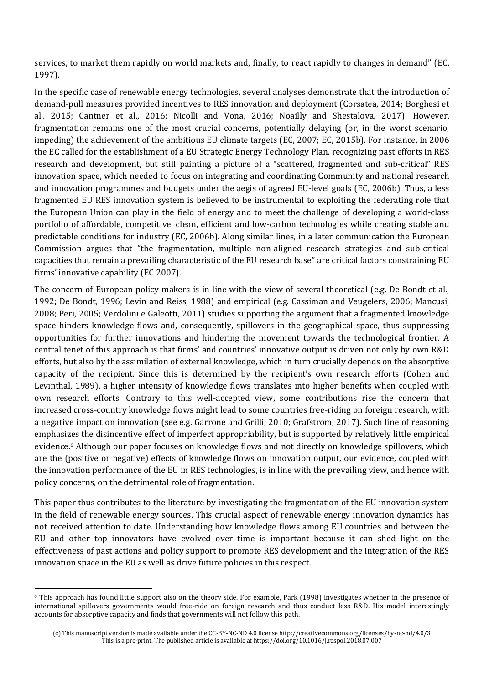services, to market them rapidly on world markets and, finally, to react rapidly to changes in demand" (EC, 1997).

In the specific case of renewable energy technologies, several analyses demonstrate that the introduction of demand-pull measures provided incentives to RES innovation and deployment (Corsatea, 2014; Borghesi et al., 2015; Cantner et al., 2016; Nicolli and Vona, 2016; Noailly and Shestalova, 2017). However, fragmentation remains one of the most crucial concerns, potentially delaying (or, in the worst scenario, impeding) the achievement of the ambitious EU climate targets (EC, 2007; EC, 2015b). For instance, in 2006 the EC called for the establishment of a EU Strategic Energy Technology Plan, recognizing past efforts in RES research and development, but still painting a picture of a "scattered, fragmented and sub-critical" RES innovation space, which needed to focus on integrating and coordinating Community and national research and innovation programmes and budgets under the aegis of agreed EU-level goals (EC, 2006b). Thus, a less fragmented EU RES innovation system is believed to be instrumental to exploiting the federating role that the European Union can play in the field of energy and to meet the challenge of developing a world-class portfolio of affordable, competitive, clean, efficient and low-carbon technologies while creating stable and predictable conditions for industry (EC, 2006b). Along similar lines, in a later communication the European Commission argues that "the fragmentation, multiple non-aligned research strategies and sub-critical capacities that remain a prevailing characteristic of the EU research base" are critical factors constraining EU firms' innovative capability (EC 2007).

The concern of European policy makers is in line with the view of several theoretical (e.g. De Bondt et al., 1992; De Bondt, 1996; Levin and Reiss, 1988) and empirical (e.g. Cassiman and Veugelers, 2006; Mancusi, 2008; Peri, 2005; Verdolini e Galeotti, 2011) studies supporting the argument that a fragmented knowledge space hinders knowledge flows and, consequently, spillovers in the geographical space, thus suppressing opportunities for further innovations and hindering the movement towards the technological frontier. A central tenet of this approach is that firms' and countries' innovative output is driven not only by own R&D efforts, but also by the assimilation of external knowledge, which in turn crucially depends on the absorptive capacity of the recipient. Since this is determined by the recipient's own research efforts (Cohen and Levinthal, 1989), a higher intensity of knowledge flows translates into higher benefits when coupled with own research efforts. Contrary to this well-accepted view, some contributions rise the concern that increased cross-country knowledge flows might lead to some countries free-riding on foreign research, with a negative impact on innovation (see e.g. Garrone and Grilli, 2010; Grafstrom, 2017). Such line of reasoning emphasizes the disincentive effect of imperfect appropriability, but is supported by relatively little empirical evidence.6 Although our paper focuses on knowledge flows and not directly on knowledge spillovers, which are the (positive or negative) effects of knowledge flows on innovation output, our evidence, coupled with the innovation performance of the EU in RES technologies, is in line with the prevailing view, and hence with policy concerns, on the detrimental role of fragmentation.

This paper thus contributes to the literature by investigating the fragmentation of the EU innovation system in the field of renewable energy sources. This crucial aspect of renewable energy innovation dynamics has not received attention to date. Understanding how knowledge flows among EU countries and between the EU and other top innovators have evolved over time is important because it can shed light on the effectiveness of past actions and policy support to promote RES development and the integration of the RES innovation space in the EU as well as drive future policies in this respect.

l

<sup>6</sup> This approach has found little support also on the theory side. For example, Park (1998) investigates whether in the presence of international spillovers governments would free-ride on foreign research and thus conduct less R&D. His model interestingly accounts for absorptive capacity and finds that governments will not follow this path.

<sup>(</sup>c) This manuscript version is made available under the CC-BY-NC-ND 4.0 license http://creativecommons.org/licenses/by-nc-nd/4.0/3 This is a pre-print. The published article is available at https://doi.org/10.1016/j.respol.2018.07.007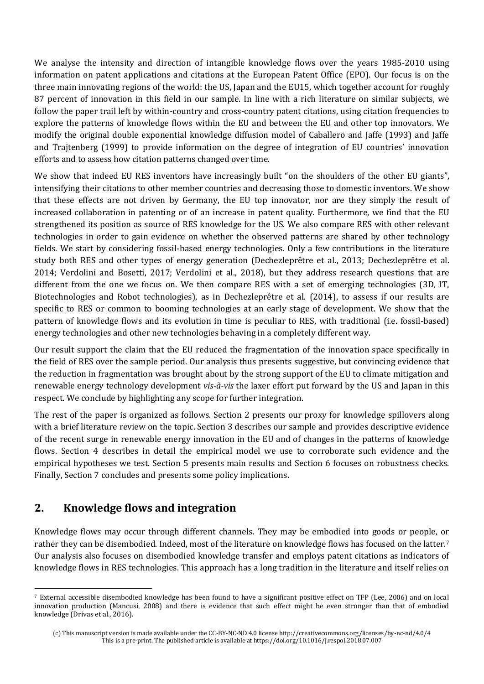We analyse the intensity and direction of intangible knowledge flows over the years 1985-2010 using information on patent applications and citations at the European Patent Office (EPO). Our focus is on the three main innovating regions of the world: the US, Japan and the EU15, which together account for roughly 87 percent of innovation in this field in our sample. In line with a rich literature on similar subjects, we follow the paper trail left by within-country and cross-country patent citations, using citation frequencies to explore the patterns of knowledge flows within the EU and between the EU and other top innovators. We modify the original double exponential knowledge diffusion model of Caballero and Jaffe (1993) and Jaffe and Trajtenberg (1999) to provide information on the degree of integration of EU countries' innovation efforts and to assess how citation patterns changed over time.

We show that indeed EU RES inventors have increasingly built "on the shoulders of the other EU giants", intensifying their citations to other member countries and decreasing those to domestic inventors. We show that these effects are not driven by Germany, the EU top innovator, nor are they simply the result of increased collaboration in patenting or of an increase in patent quality. Furthermore, we find that the EU strengthened its position as source of RES knowledge for the US. We also compare RES with other relevant technologies in order to gain evidence on whether the observed patterns are shared by other technology fields. We start by considering fossil-based energy technologies. Only a few contributions in the literature study both RES and other types of energy generation (Dechezleprêtre et al., 2013; Dechezleprêtre et al. 2014; Verdolini and Bosetti, 2017; Verdolini et al., 2018), but they address research questions that are different from the one we focus on. We then compare RES with a set of emerging technologies (3D, IT, Biotechnologies and Robot technologies), as in Dechezleprêtre et al. (2014), to assess if our results are specific to RES or common to booming technologies at an early stage of development. We show that the pattern of knowledge flows and its evolution in time is peculiar to RES, with traditional (i.e. fossil-based) energy technologies and other new technologies behaving in a completely different way.

Our result support the claim that the EU reduced the fragmentation of the innovation space specifically in the field of RES over the sample period. Our analysis thus presents suggestive, but convincing evidence that the reduction in fragmentation was brought about by the strong support of the EU to climate mitigation and renewable energy technology development *vis-à-vis* the laxer effort put forward by the US and Japan in this respect. We conclude by highlighting any scope for further integration.

The rest of the paper is organized as follows. Section 2 presents our proxy for knowledge spillovers along with a brief literature review on the topic. Section 3 describes our sample and provides descriptive evidence of the recent surge in renewable energy innovation in the EU and of changes in the patterns of knowledge flows. Section 4 describes in detail the empirical model we use to corroborate such evidence and the empirical hypotheses we test. Section 5 presents main results and Section 6 focuses on robustness checks. Finally, Section 7 concludes and presents some policy implications.

## **2. Knowledge flows and integration**

l

Knowledge flows may occur through different channels. They may be embodied into goods or people, or rather they can be disembodied. Indeed, most of the literature on knowledge flows has focused on the latter.<sup>7</sup> Our analysis also focuses on disembodied knowledge transfer and employs patent citations as indicators of knowledge flows in RES technologies. This approach has a long tradition in the literature and itself relies on

<sup>7</sup> External accessible disembodied knowledge has been found to have a significant positive effect on TFP (Lee, 2006) and on local innovation production (Mancusi, 2008) and there is evidence that such effect might be even stronger than that of embodied knowledge (Drivas et al., 2016).

<sup>(</sup>c) This manuscript version is made available under the CC-BY-NC-ND 4.0 license http://creativecommons.org/licenses/by-nc-nd/4.0/4 This is a pre-print. The published article is available at https://doi.org/10.1016/j.respol.2018.07.007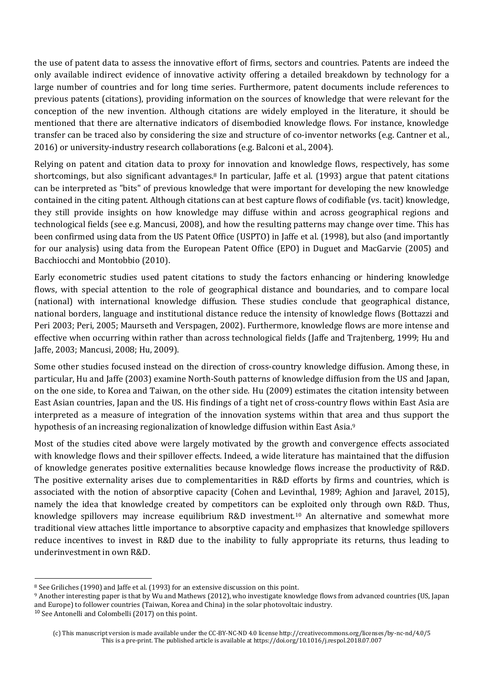the use of patent data to assess the innovative effort of firms, sectors and countries. Patents are indeed the only available indirect evidence of innovative activity offering a detailed breakdown by technology for a large number of countries and for long time series. Furthermore, patent documents include references to previous patents (citations), providing information on the sources of knowledge that were relevant for the conception of the new invention. Although citations are widely employed in the literature, it should be mentioned that there are alternative indicators of disembodied knowledge flows. For instance, knowledge transfer can be traced also by considering the size and structure of co-inventor networks (e.g. Cantner et al., 2016) or university-industry research collaborations (e.g. Balconi et al., 2004).

Relying on patent and citation data to proxy for innovation and knowledge flows, respectively, has some shortcomings, but also significant advantages.8 In particular, Jaffe et al. (1993) argue that patent citations can be interpreted as "bits" of previous knowledge that were important for developing the new knowledge contained in the citing patent. Although citations can at best capture flows of codifiable (vs. tacit) knowledge, they still provide insights on how knowledge may diffuse within and across geographical regions and technological fields (see e.g. Mancusi, 2008), and how the resulting patterns may change over time. This has been confirmed using data from the US Patent Office (USPTO) in Jaffe et al. (1998), but also (and importantly for our analysis) using data from the European Patent Office (EPO) in Duguet and MacGarvie (2005) and Bacchiocchi and Montobbio (2010).

Early econometric studies used patent citations to study the factors enhancing or hindering knowledge flows, with special attention to the role of geographical distance and boundaries, and to compare local (national) with international knowledge diffusion. These studies conclude that geographical distance, national borders, language and institutional distance reduce the intensity of knowledge flows (Bottazzi and Peri 2003; Peri, 2005; Maurseth and Verspagen, 2002). Furthermore, knowledge flows are more intense and effective when occurring within rather than across technological fields (Jaffe and Trajtenberg, 1999; Hu and Jaffe, 2003; Mancusi, 2008; Hu, 2009).

Some other studies focused instead on the direction of cross-country knowledge diffusion. Among these, in particular, Hu and Jaffe (2003) examine North-South patterns of knowledge diffusion from the US and Japan, on the one side, to Korea and Taiwan, on the other side. Hu (2009) estimates the citation intensity between East Asian countries, Japan and the US. His findings of a tight net of cross-country flows within East Asia are interpreted as a measure of integration of the innovation systems within that area and thus support the hypothesis of an increasing regionalization of knowledge diffusion within East Asia.<sup>9</sup>

Most of the studies cited above were largely motivated by the growth and convergence effects associated with knowledge flows and their spillover effects. Indeed, a wide literature has maintained that the diffusion of knowledge generates positive externalities because knowledge flows increase the productivity of R&D. The positive externality arises due to complementarities in R&D efforts by firms and countries, which is associated with the notion of absorptive capacity (Cohen and Levinthal, 1989; Aghion and Jaravel, 2015), namely the idea that knowledge created by competitors can be exploited only through own R&D. Thus, knowledge spillovers may increase equilibrium R&D investment.10 An alternative and somewhat more traditional view attaches little importance to absorptive capacity and emphasizes that knowledge spillovers reduce incentives to invest in R&D due to the inability to fully appropriate its returns, thus leading to underinvestment in own R&D.

l

<sup>8</sup> See Griliches (1990) and Jaffe et al. (1993) for an extensive discussion on this point.

<sup>9</sup> Another interesting paper is that by Wu and Mathews (2012), who investigate knowledge flows from advanced countries (US, Japan and Europe) to follower countries (Taiwan, Korea and China) in the solar photovoltaic industry.

<sup>10</sup> See Antonelli and Colombelli (2017) on this point.

<sup>(</sup>c) This manuscript version is made available under the CC-BY-NC-ND 4.0 license http://creativecommons.org/licenses/by-nc-nd/4.0/5 This is a pre-print. The published article is available at https://doi.org/10.1016/j.respol.2018.07.007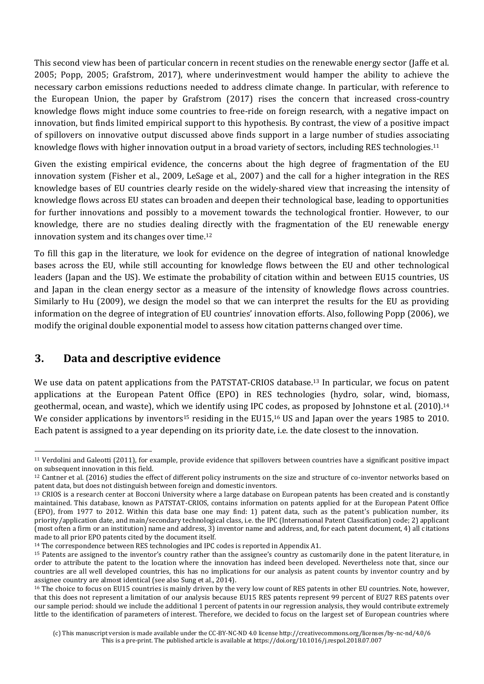This second view has been of particular concern in recent studies on the renewable energy sector (Jaffe et al. 2005; Popp, 2005; Grafstrom, 2017), where underinvestment would hamper the ability to achieve the necessary carbon emissions reductions needed to address climate change. In particular, with reference to the European Union, the paper by Grafstrom (2017) rises the concern that increased cross-country knowledge flows might induce some countries to free-ride on foreign research, with a negative impact on innovation, but finds limited empirical support to this hypothesis. By contrast, the view of a positive impact of spillovers on innovative output discussed above finds support in a large number of studies associating knowledge flows with higher innovation output in a broad variety of sectors, including RES technologies.<sup>11</sup>

Given the existing empirical evidence, the concerns about the high degree of fragmentation of the EU innovation system (Fisher et al., 2009, LeSage et al., 2007) and the call for a higher integration in the RES knowledge bases of EU countries clearly reside on the widely-shared view that increasing the intensity of knowledge flows across EU states can broaden and deepen their technological base, leading to opportunities for further innovations and possibly to a movement towards the technological frontier. However, to our knowledge, there are no studies dealing directly with the fragmentation of the EU renewable energy innovation system and its changes over time.<sup>12</sup>

To fill this gap in the literature, we look for evidence on the degree of integration of national knowledge bases across the EU, while still accounting for knowledge flows between the EU and other technological leaders (Japan and the US). We estimate the probability of citation within and between EU15 countries, US and Japan in the clean energy sector as a measure of the intensity of knowledge flows across countries. Similarly to Hu (2009), we design the model so that we can interpret the results for the EU as providing information on the degree of integration of EU countries' innovation efforts. Also, following Popp (2006), we modify the original double exponential model to assess how citation patterns changed over time.

## **3. Data and descriptive evidence**

 $\overline{a}$ 

We use data on patent applications from the PATSTAT-CRIOS database.<sup>13</sup> In particular, we focus on patent applications at the European Patent Office (EPO) in RES technologies (hydro, solar, wind, biomass, geothermal, ocean, and waste), which we identify using IPC codes, as proposed by Johnstone et al. (2010).<sup>14</sup> We consider applications by inventors<sup>15</sup> residing in the EU15,<sup>16</sup> US and Japan over the years 1985 to 2010. Each patent is assigned to a year depending on its priority date, i.e. the date closest to the innovation.

<sup>11</sup> Verdolini and Galeotti (2011), for example, provide evidence that spillovers between countries have a significant positive impact on subsequent innovation in this field.

<sup>12</sup> Cantner et al. (2016) studies the effect of different policy instruments on the size and structure of co-inventor networks based on patent data, but does not distinguish between foreign and domestic inventors.

<sup>&</sup>lt;sup>13</sup> CRIOS is a research center at Bocconi University where a large database on European patents has been created and is constantly maintained. This database, known as PATSTAT-CRIOS, contains information on patents applied for at the European Patent Office (EPO), from 1977 to 2012. Within this data base one may find: 1) patent data, such as the patent's publication number, its priority/application date, and main/secondary technological class, i.e. the IPC (International Patent Classification) code; 2) applicant (most often a firm or an institution) name and address, 3) inventor name and address, and, for each patent document, 4) all citations made to all prior EPO patents cited by the document itself.

<sup>&</sup>lt;sup>14</sup> The correspondence between RES technologies and IPC codes is reported in Appendix A1.

<sup>15</sup> Patents are assigned to the inventor's country rather than the assignee's country as customarily done in the patent literature, in order to attribute the patent to the location where the innovation has indeed been developed. Nevertheless note that, since our countries are all well developed countries, this has no implications for our analysis as patent counts by inventor country and by assignee country are almost identical (see also Sung et al., 2014).

<sup>&</sup>lt;sup>16</sup> The choice to focus on EU15 countries is mainly driven by the very low count of RES patents in other EU countries. Note, however, that this does not represent a limitation of our analysis because EU15 RES patents represent 99 percent of EU27 RES patents over our sample period: should we include the additional 1 percent of patents in our regression analysis, they would contribute extremely little to the identification of parameters of interest. Therefore, we decided to focus on the largest set of European countries where

<sup>(</sup>c) This manuscript version is made available under the CC-BY-NC-ND 4.0 license http://creativecommons.org/licenses/by-nc-nd/4.0/6 This is a pre-print. The published article is available at https://doi.org/10.1016/j.respol.2018.07.007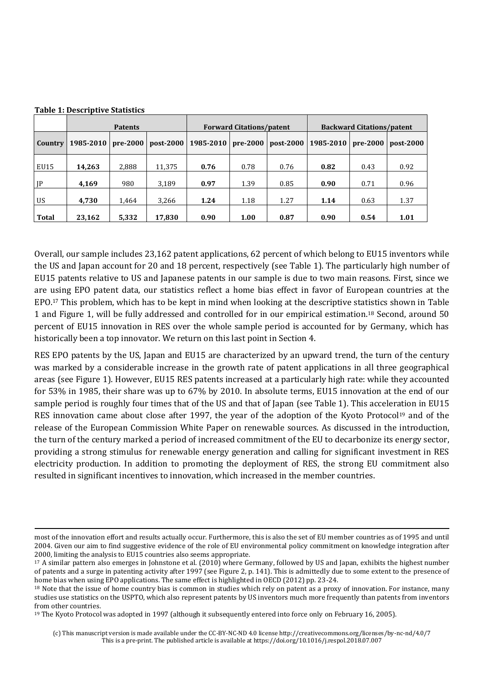|                | <b>Patents</b> |          |             |                      | <b>Forward Citations/patent</b> |           | <b>Backward Citations/patent</b> |          |           |
|----------------|----------------|----------|-------------|----------------------|---------------------------------|-----------|----------------------------------|----------|-----------|
| <b>Country</b> | 1985-2010      | pre-2000 | $post-2000$ | 1985-2010   pre-2000 |                                 | post-2000 | 1985-2010                        | pre-2000 | post-2000 |
| EU15           | 14,263         | 2,888    | 11,375      | 0.76                 | 0.78                            | 0.76      | 0.82                             | 0.43     | 0.92      |
| JP             | 4.169          | 980      | 3.189       | 0.97                 | 1.39                            | 0.85      | 0.90                             | 0.71     | 0.96      |
| <b>US</b>      | 4,730          | 1,464    | 3,266       | 1.24                 | 1.18                            | 1.27      | 1.14                             | 0.63     | 1.37      |
| Total          | 23,162         | 5,332    | 17,830      | 0.90                 | 1.00                            | 0.87      | 0.90                             | 0.54     | 1.01      |

**Table 1: Descriptive Statistics** 

l

Overall, our sample includes 23,162 patent applications, 62 percent of which belong to EU15 inventors while the US and Japan account for 20 and 18 percent, respectively (see Table 1). The particularly high number of EU15 patents relative to US and Japanese patents in our sample is due to two main reasons. First, since we are using EPO patent data, our statistics reflect a home bias effect in favor of European countries at the EPO.17 This problem, which has to be kept in mind when looking at the descriptive statistics shown in Table 1 and Figure 1, will be fully addressed and controlled for in our empirical estimation.18 Second, around 50 percent of EU15 innovation in RES over the whole sample period is accounted for by Germany, which has historically been a top innovator. We return on this last point in Section 4.

RES EPO patents by the US, Japan and EU15 are characterized by an upward trend, the turn of the century was marked by a considerable increase in the growth rate of patent applications in all three geographical areas (see Figure 1). However, EU15 RES patents increased at a particularly high rate: while they accounted for 53% in 1985, their share was up to 67% by 2010. In absolute terms, EU15 innovation at the end of our sample period is roughly four times that of the US and that of Japan (see Table 1). This acceleration in EU15 RES innovation came about close after 1997, the year of the adoption of the Kyoto Protocol<sup>19</sup> and of the release of the European Commission White Paper on renewable sources. As discussed in the introduction, the turn of the century marked a period of increased commitment of the EU to decarbonize its energy sector, providing a strong stimulus for renewable energy generation and calling for significant investment in RES electricity production. In addition to promoting the deployment of RES, the strong EU commitment also resulted in significant incentives to innovation, which increased in the member countries.

most of the innovation effort and results actually occur. Furthermore, this is also the set of EU member countries as of 1995 and until 2004. Given our aim to find suggestive evidence of the role of EU environmental policy commitment on knowledge integration after 2000, limiting the analysis to EU15 countries also seems appropriate.

<sup>17</sup> A similar pattern also emerges in Johnstone et al. (2010) where Germany, followed by US and Japan, exhibits the highest number of patents and a surge in patenting activity after 1997 (see Figure 2, p. 141). This is admittedly due to some extent to the presence of home bias when using EPO applications. The same effect is highlighted in OECD (2012) pp. 23-24.

<sup>&</sup>lt;sup>18</sup> Note that the issue of home country bias is common in studies which rely on patent as a proxy of innovation. For instance, many studies use statistics on the USPTO, which also represent patents by US inventors much more frequently than patents from inventors from other countries.

<sup>&</sup>lt;sup>19</sup> The Kyoto Protocol was adopted in 1997 (although it subsequently entered into force only on February 16, 2005).

<sup>(</sup>c) This manuscript version is made available under the CC-BY-NC-ND 4.0 license http://creativecommons.org/licenses/by-nc-nd/4.0/7 This is a pre-print. The published article is available at https://doi.org/10.1016/j.respol.2018.07.007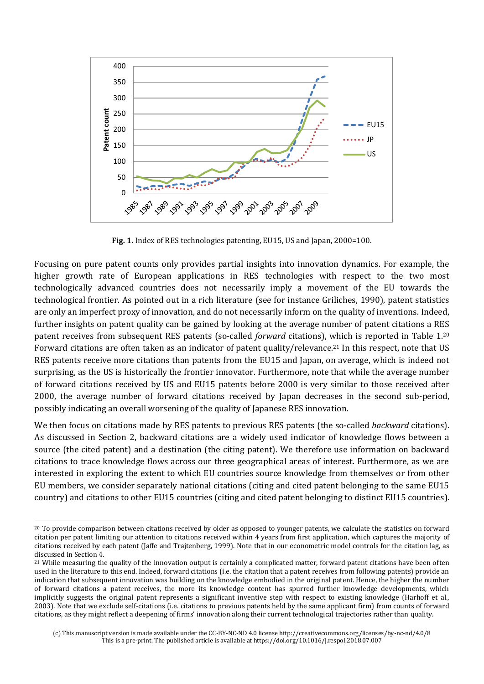

**Fig. 1.** Index of RES technologies patenting, EU15, US and Japan, 2000=100.

Focusing on pure patent counts only provides partial insights into innovation dynamics. For example, the higher growth rate of European applications in RES technologies with respect to the two most technologically advanced countries does not necessarily imply a movement of the EU towards the technological frontier. As pointed out in a rich literature (see for instance Griliches, 1990), patent statistics are only an imperfect proxy of innovation, and do not necessarily inform on the quality of inventions. Indeed, further insights on patent quality can be gained by looking at the average number of patent citations a RES patent receives from subsequent RES patents (so-called *forward* citations), which is reported in Table 1.<sup>20</sup> Forward citations are often taken as an indicator of patent quality/relevance.21 In this respect, note that US RES patents receive more citations than patents from the EU15 and Japan, on average, which is indeed not surprising, as the US is historically the frontier innovator. Furthermore, note that while the average number of forward citations received by US and EU15 patents before 2000 is very similar to those received after 2000, the average number of forward citations received by Japan decreases in the second sub-period, possibly indicating an overall worsening of the quality of Japanese RES innovation.

We then focus on citations made by RES patents to previous RES patents (the so-called *backward* citations). As discussed in Section 2, backward citations are a widely used indicator of knowledge flows between a source (the cited patent) and a destination (the citing patent). We therefore use information on backward citations to trace knowledge flows across our three geographical areas of interest. Furthermore, as we are interested in exploring the extent to which EU countries source knowledge from themselves or from other EU members, we consider separately national citations (citing and cited patent belonging to the same EU15 country) and citations to other EU15 countries (citing and cited patent belonging to distinct EU15 countries).

l

<sup>&</sup>lt;sup>20</sup> To provide comparison between citations received by older as opposed to younger patents, we calculate the statistics on forward citation per patent limiting our attention to citations received within 4 years from first application, which captures the majority of citations received by each patent (Jaffe and Trajtenberg, 1999). Note that in our econometric model controls for the citation lag, as discussed in Section 4.

<sup>&</sup>lt;sup>21</sup> While measuring the quality of the innovation output is certainly a complicated matter, forward patent citations have been often used in the literature to this end. Indeed, forward citations (i.e. the citation that a patent receives from following patents) provide an indication that subsequent innovation was building on the knowledge embodied in the original patent. Hence, the higher the number of forward citations a patent receives, the more its knowledge content has spurred further knowledge developments, which implicitly suggests the original patent represents a significant inventive step with respect to existing knowledge (Harhoff et al., 2003). Note that we exclude self-citations (i.e. citations to previous patents held by the same applicant firm) from counts of forward citations, as they might reflect a deepening of firms' innovation along their current technological trajectories rather than quality.

<sup>(</sup>c) This manuscript version is made available under the CC-BY-NC-ND 4.0 license http://creativecommons.org/licenses/by-nc-nd/4.0/8 This is a pre-print. The published article is available at https://doi.org/10.1016/j.respol.2018.07.007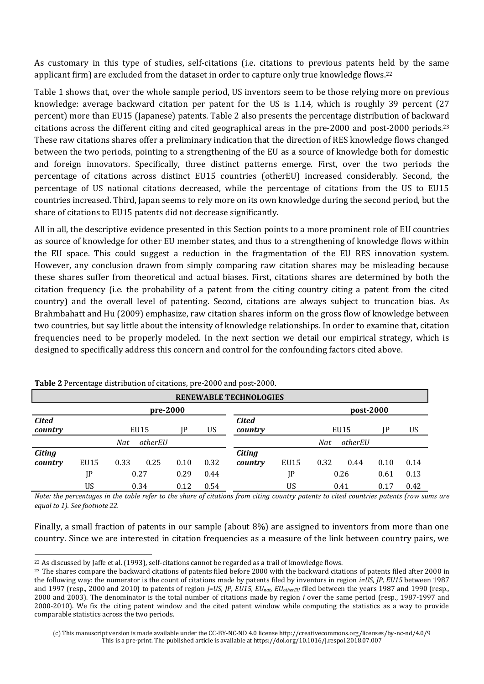As customary in this type of studies, self-citations (i.e. citations to previous patents held by the same applicant firm) are excluded from the dataset in order to capture only true knowledge flows.<sup>22</sup>

Table 1 shows that, over the whole sample period, US inventors seem to be those relying more on previous knowledge: average backward citation per patent for the US is 1.14, which is roughly 39 percent (27 percent) more than EU15 (Japanese) patents. Table 2 also presents the percentage distribution of backward citations across the different citing and cited geographical areas in the pre-2000 and post-2000 periods.<sup>23</sup> These raw citations shares offer a preliminary indication that the direction of RES knowledge flows changed between the two periods, pointing to a strengthening of the EU as a source of knowledge both for domestic and foreign innovators. Specifically, three distinct patterns emerge. First, over the two periods the percentage of citations across distinct EU15 countries (otherEU) increased considerably. Second, the percentage of US national citations decreased, while the percentage of citations from the US to EU15 countries increased. Third, Japan seems to rely more on its own knowledge during the second period, but the share of citations to EU15 patents did not decrease significantly.

All in all, the descriptive evidence presented in this Section points to a more prominent role of EU countries as source of knowledge for other EU member states, and thus to a strengthening of knowledge flows within the EU space. This could suggest a reduction in the fragmentation of the EU RES innovation system. However, any conclusion drawn from simply comparing raw citation shares may be misleading because these shares suffer from theoretical and actual biases. First, citations shares are determined by both the citation frequency (i.e. the probability of a patent from the citing country citing a patent from the cited country) and the overall level of patenting. Second, citations are always subject to truncation bias. As Brahmbahatt and Hu (2009) emphasize, raw citation shares inform on the gross flow of knowledge between two countries, but say little about the intensity of knowledge relationships. In order to examine that, citation frequencies need to be properly modeled. In the next section we detail our empirical strategy, which is designed to specifically address this concern and control for the confounding factors cited above.

|                          | <b>RENEWABLE TECHNOLOGIES</b> |            |          |      |      |                          |      |      |           |           |      |
|--------------------------|-------------------------------|------------|----------|------|------|--------------------------|------|------|-----------|-----------|------|
|                          |                               |            | pre-2000 |      |      |                          |      |      | post-2000 |           |      |
| <b>Cited</b><br>country  |                               |            | EU15     | IP   | US   | <b>Cited</b><br>country  |      |      | EU15      | <b>IP</b> | US   |
|                          |                               | <b>Nat</b> | otherEU  |      |      |                          |      | Nat  | otherEU   |           |      |
| <b>Citing</b><br>country | EU15                          | 0.33       | 0.25     | 0.10 | 0.32 | <b>Citing</b><br>country | EU15 | 0.32 | 0.44      | 0.10      | 0.14 |
|                          | JP                            |            | 0.27     | 0.29 | 0.44 |                          | JP   |      | 0.26      | 0.61      | 0.13 |
|                          | US                            |            | 0.34     | 0.12 | 0.54 |                          | US   |      | 0.41      | 0.17      | 0.42 |

**Table 2** Percentage distribution of citations, pre-2000 and post-2000.

l

*Note: the percentages in the table refer to the share of citations from citing country patents to cited countries patents (row sums are equal to 1). See footnote 22.* 

Finally, a small fraction of patents in our sample (about 8%) are assigned to inventors from more than one country. Since we are interested in citation frequencies as a measure of the link between country pairs, we

<sup>&</sup>lt;sup>22</sup> As discussed by Jaffe et al. (1993), self-citations cannot be regarded as a trail of knowledge flows.

<sup>&</sup>lt;sup>23</sup> The shares compare the backward citations of patents filed before 2000 with the backward citations of patents filed after 2000 in the following way: the numerator is the count of citations made by patents filed by inventors in region *i=US, JP, EU15* between 1987 and 1997 (resp., 2000 and 2010) to patents of region *j=US, JP, EU15, EUnat*, *EUotherEU* filed between the years 1987 and 1990 (resp., 2000 and 2003). The denominator is the total number of citations made by region *i* over the same period (resp., 1987-1997 and 2000-2010). We fix the citing patent window and the cited patent window while computing the statistics as a way to provide comparable statistics across the two periods.

<sup>(</sup>c) This manuscript version is made available under the CC-BY-NC-ND 4.0 license http://creativecommons.org/licenses/by-nc-nd/4.0/9 This is a pre-print. The published article is available at https://doi.org/10.1016/j.respol.2018.07.007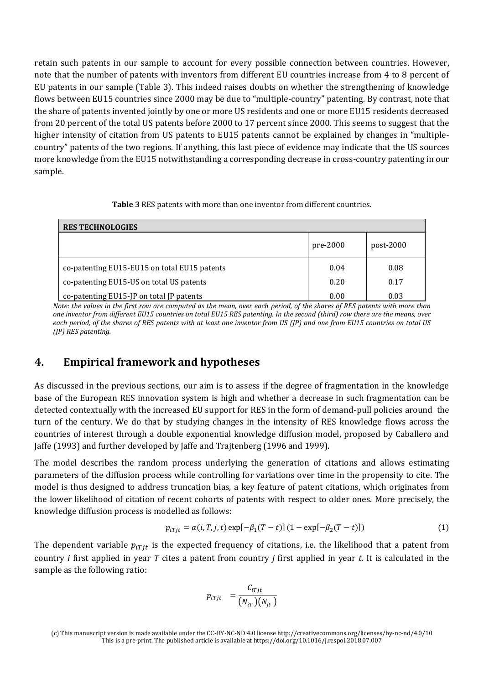retain such patents in our sample to account for every possible connection between countries. However, note that the number of patents with inventors from different EU countries increase from 4 to 8 percent of EU patents in our sample (Table 3). This indeed raises doubts on whether the strengthening of knowledge flows between EU15 countries since 2000 may be due to "multiple-country" patenting. By contrast, note that the share of patents invented jointly by one or more US residents and one or more EU15 residents decreased from 20 percent of the total US patents before 2000 to 17 percent since 2000. This seems to suggest that the higher intensity of citation from US patents to EU15 patents cannot be explained by changes in "multiplecountry" patents of the two regions. If anything, this last piece of evidence may indicate that the US sources more knowledge from the EU15 notwithstanding a corresponding decrease in cross-country patenting in our sample.

| <b>RES TECHNOLOGIES</b>                      |          |             |  |  |  |  |
|----------------------------------------------|----------|-------------|--|--|--|--|
|                                              | pre-2000 | $post-2000$ |  |  |  |  |
| co-patenting EU15-EU15 on total EU15 patents | 0.04     | 0.08        |  |  |  |  |
| co-patenting EU15-US on total US patents     | 0.20     | 0.17        |  |  |  |  |
| co-patenting EU15-JP on total JP patents     | 0.00     | 0.03        |  |  |  |  |

*Note: the values in the first row are computed as the mean, over each period, of the shares of RES patents with more than one inventor from different EU15 countries on total EU15 RES patenting. In the second (third) row there are the means, over each period, of the shares of RES patents with at least one inventor from US (JP) and one from EU15 countries on total US (JP) RES patenting.* 

## **4. Empirical framework and hypotheses**

As discussed in the previous sections, our aim is to assess if the degree of fragmentation in the knowledge base of the European RES innovation system is high and whether a decrease in such fragmentation can be detected contextually with the increased EU support for RES in the form of demand-pull policies around the turn of the century. We do that by studying changes in the intensity of RES knowledge flows across the countries of interest through a double exponential knowledge diffusion model, proposed by Caballero and Jaffe (1993) and further developed by Jaffe and Trajtenberg (1996 and 1999).

The model describes the random process underlying the generation of citations and allows estimating parameters of the diffusion process while controlling for variations over time in the propensity to cite. The model is thus designed to address truncation bias, a key feature of patent citations, which originates from the lower likelihood of citation of recent cohorts of patents with respect to older ones. More precisely, the knowledge diffusion process is modelled as follows:

$$
p_{iTjt} = \alpha(i, T, j, t) \exp[-\beta_1(T - t)] (1 - \exp[-\beta_2(T - t)])
$$
 (1)

The dependent variable  $p_{i\tau i t}$  is the expected frequency of citations, i.e. the likelihood that a patent from country *i* first applied in year *T* cites a patent from country *j* first applied in year *t*. It is calculated in the sample as the following ratio:

$$
p_{iTjt} = \frac{C_{iTjt}}{(N_{iT})(N_{jt})}
$$

<sup>(</sup>c) This manuscript version is made available under the CC-BY-NC-ND 4.0 license http://creativecommons.org/licenses/by-nc-nd/4.0/10 This is a pre-print. The published article is available at https://doi.org/10.1016/j.respol.2018.07.007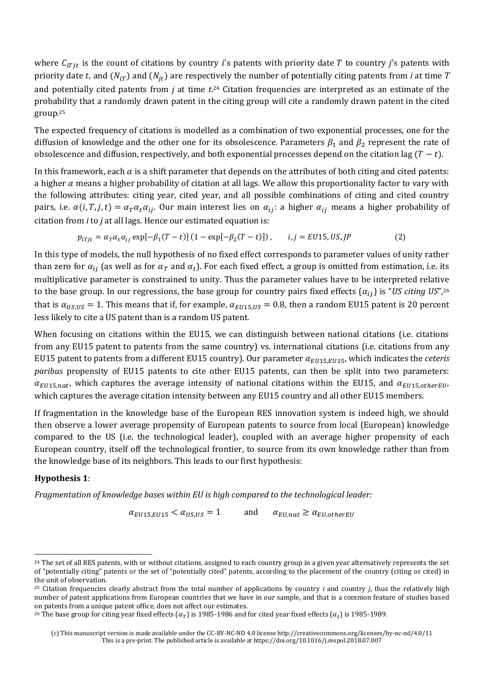where  $C_{iTjt}$  is the count of citations by country i's patents with priority date T to country j's patents with priority date t, and  $(N_{iT})$  and  $(N_{jt})$  are respectively the number of potentially citing patents from *i* at time *T* and potentially cited patents from *j* at time *t*. <sup>24</sup> Citation frequencies are interpreted as an estimate of the probability that a randomly drawn patent in the citing group will cite a randomly drawn patent in the cited group.<sup>25</sup>

The expected frequency of citations is modelled as a combination of two exponential processes, one for the diffusion of knowledge and the other one for its obsolescence. Parameters  $\beta_1$  and  $\beta_2$  represent the rate of obsolescence and diffusion, respectively, and both exponential processes depend on the citation lag  $(T - t)$ .

In this framework, each  $\alpha$  is a shift parameter that depends on the attributes of both citing and cited patents: a higher  $\alpha$  means a higher probability of citation at all lags. We allow this proportionality factor to vary with the following attributes: citing year, cited year, and all possible combinations of citing and cited country pairs, i.e.  $\alpha(i, T, j, t) = \alpha_T \alpha_t \alpha_{ij}$ . Our main interest lies on  $\alpha_{ij}$ : a higher  $\alpha_{ij}$  means a higher probability of citation from *i* to *j* at all lags. Hence our estimated equation is:

$$
p_{iTjt} = \alpha_T \alpha_t \alpha_{ij} \exp[-\beta_1 (T-t)] (1 - \exp[-\beta_2 (T-t)]) , \qquad i, j = EU15, US, JP
$$
 (2)

In this type of models, the null hypothesis of no fixed effect corresponds to parameter values of unity rather than zero for  $\alpha_{ij}$  (as well as for  $\alpha_T$  and  $\alpha_t$ ). For each fixed effect, a group is omitted from estimation, i.e. its multiplicative parameter is constrained to unity. Thus the parameter values have to be interpreted relative to the base group. In our regressions, the base group for country pairs fixed effects  $(\alpha_{ij})$  is "*US citing US*",<sup>26</sup> that is  $\alpha_{US,US} = 1$ . This means that if, for example,  $\alpha_{EU15,US} = 0.8$ , then a random EU15 patent is 20 percent less likely to cite a US patent than is a random US patent.

When focusing on citations within the EU15, we can distinguish between national citations (i.e. citations from any EU15 patent to patents from the same country) vs. international citations (i.e. citations from any EU15 patent to patents from a different EU15 country). Our parameter  $\alpha_{EII15,EII15}$ , which indicates the *ceteris paribus* propensity of EU15 patents to cite other EU15 patents, can then be split into two parameters:  $\alpha_{EU15, nat}$ , which captures the average intensity of national citations within the EU15, and  $\alpha_{EU15,otherEU}$ , which captures the average citation intensity between any EU15 country and all other EU15 members.

If fragmentation in the knowledge base of the European RES innovation system is indeed high, we should then observe a lower average propensity of European patents to source from local (European) knowledge compared to the US (i.e. the technological leader), coupled with an average higher propensity of each European country, itself off the technological frontier, to source from its own knowledge rather than from the knowledge base of its neighbors. This leads to our first hypothesis:

#### **Hypothesis 1**:

l

*Fragmentation of knowledge bases within EU is high compared to the technological leader:* 

 $\alpha_{EII15,EII15} < \alpha_{IIS,II5} = 1$  and  $\alpha_{EII,nat} \ge \alpha_{EII,otherEII}$ 

<sup>&</sup>lt;sup>24</sup> The set of all RES patents, with or without citations, assigned to each country group in a given year alternatively represents the set of "potentially citing" patents or the set of "potentially cited" patents, according to the placement of the country (citing or cited) in the unit of observation.

<sup>25</sup> Citation frequencies clearly abstract from the total number of applications by country *i* and country *j*, thus the relatively high number of patent applications from European countries that we have in our sample, and that is a common feature of studies based on patents from a unique patent office, does not affect our estimates.

<sup>&</sup>lt;sup>26</sup> The base group for citing year fixed effects ( $\alpha_T$ ) is 1985-1986 and for cited year fixed effects ( $\alpha_t$ ) is 1985-1989.

<sup>(</sup>c) This manuscript version is made available under the CC-BY-NC-ND 4.0 license http://creativecommons.org/licenses/by-nc-nd/4.0/11 This is a pre-print. The published article is available at https://doi.org/10.1016/j.respol.2018.07.007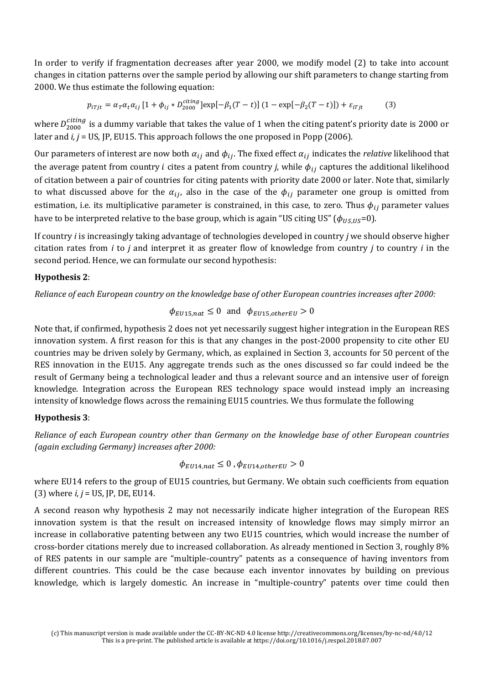In order to verify if fragmentation decreases after year 2000, we modify model (2) to take into account changes in citation patterns over the sample period by allowing our shift parameters to change starting from 2000. We thus estimate the following equation:

$$
p_{iTjt} = \alpha_T \alpha_t \alpha_{ij} \left[ 1 + \phi_{ij} * D_{2000}^{citing} \right] \exp[-\beta_1 (T - t)] \left( 1 - \exp[-\beta_2 (T - t)] \right) + \varepsilon_{iTjt} \tag{3}
$$

where  $D_{2000}^{cuting}$  is a dummy variable that takes the value of 1 when the citing patent's priority date is 2000 or later and *i, j* = US, JP, EU15. This approach follows the one proposed in Popp (2006).

Our parameters of interest are now both  $\alpha_{ij}$  and  $\phi_{ij}$ . The fixed effect  $\alpha_{ij}$  indicates the *relative* likelihood that the average patent from country *i* cites a patent from country *j*, while  $\phi_{ij}$  captures the additional likelihood of citation between a pair of countries for citing patents with priority date 2000 or later. Note that, similarly to what discussed above for the  $\alpha_{ij}$ , also in the case of the  $\phi_{ij}$  parameter one group is omitted from estimation, i.e. its multiplicative parameter is constrained, in this case, to zero. Thus  $\phi_{ij}$  parameter values have to be interpreted relative to the base group, which is again "US citing US" ( $\phi_{US,US}=0$ ).

If country *i* is increasingly taking advantage of technologies developed in country *j* we should observe higher citation rates from *i* to *j* and interpret it as greater flow of knowledge from country *j* to country *i* in the second period. Hence, we can formulate our second hypothesis:

#### **Hypothesis 2**:

*Reliance of each European country on the knowledge base of other European countries increases after 2000:* 

 $\phi_{EU15, nat} \leq 0$  and  $\phi_{Ell15,otherEll} > 0$ 

Note that, if confirmed, hypothesis 2 does not yet necessarily suggest higher integration in the European RES innovation system. A first reason for this is that any changes in the post-2000 propensity to cite other EU countries may be driven solely by Germany, which, as explained in Section 3, accounts for 50 percent of the RES innovation in the EU15. Any aggregate trends such as the ones discussed so far could indeed be the result of Germany being a technological leader and thus a relevant source and an intensive user of foreign knowledge. Integration across the European RES technology space would instead imply an increasing intensity of knowledge flows across the remaining EU15 countries. We thus formulate the following

#### **Hypothesis 3**:

*Reliance of each European country other than Germany on the knowledge base of other European countries (again excluding Germany) increases after 2000:* 

$$
\phi_{EU14,nat} \leq 0 \,, \phi_{EU14,otherEU} > 0
$$

where EU14 refers to the group of EU15 countries, but Germany. We obtain such coefficients from equation (3) where *i, j* = US, JP, DE, EU14.

A second reason why hypothesis 2 may not necessarily indicate higher integration of the European RES innovation system is that the result on increased intensity of knowledge flows may simply mirror an increase in collaborative patenting between any two EU15 countries, which would increase the number of cross-border citations merely due to increased collaboration. As already mentioned in Section 3, roughly 8% of RES patents in our sample are "multiple-country" patents as a consequence of having inventors from different countries. This could be the case because each inventor innovates by building on previous knowledge, which is largely domestic. An increase in "multiple-country" patents over time could then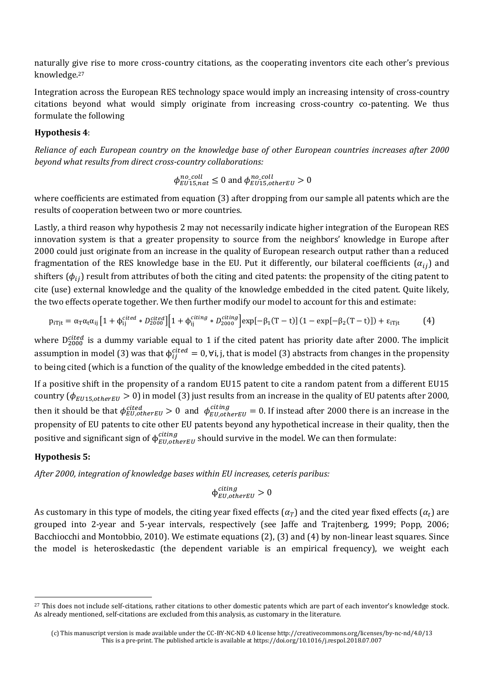naturally give rise to more cross-country citations, as the cooperating inventors cite each other's previous knowledge.<sup>27</sup>

Integration across the European RES technology space would imply an increasing intensity of cross-country citations beyond what would simply originate from increasing cross-country co-patenting. We thus formulate the following

#### **Hypothesis 4**:

*Reliance of each European country on the knowledge base of other European countries increases after 2000 beyond what results from direct cross-country collaborations:* 

$$
\phi_{EU15, nat}^{no\_coll} \le 0
$$
 and 
$$
\phi_{EU15,otherEU}^{no\_coll} > 0
$$

where coefficients are estimated from equation (3) after dropping from our sample all patents which are the results of cooperation between two or more countries.

Lastly, a third reason why hypothesis 2 may not necessarily indicate higher integration of the European RES innovation system is that a greater propensity to source from the neighbors' knowledge in Europe after 2000 could just originate from an increase in the quality of European research output rather than a reduced fragmentation of the RES knowledge base in the EU. Put it differently, our bilateral coefficients  $(\alpha_{ij})$  and shifters ( $\phi_{ii}$ ) result from attributes of both the citing and cited patents: the propensity of the citing patent to cite (use) external knowledge and the quality of the knowledge embedded in the cited patent. Quite likely, the two effects operate together. We then further modify our model to account for this and estimate:

$$
p_{iTjt} = \alpha_T \alpha_t \alpha_{ij} \left[ 1 + \phi_{ij}^{cited} * D_{2000}^{cited} \right] \left[ 1 + \phi_{ij}^{citing} * D_{2000}^{citing} \right] \exp\left[ -\beta_1 (T-t) \right] (1 - \exp\left[ -\beta_2 (T-t) \right]) + \epsilon_{iTjt} \tag{4}
$$

where D<sub>2000</sub> is a dummy variable equal to 1 if the cited patent has priority date after 2000. The implicit assumption in model (3) was that  $\phi_{ij}^{cited} = 0$ ,  $\forall i, j$ , that is model (3) abstracts from changes in the propensity to being cited (which is a function of the quality of the knowledge embedded in the cited patents).

If a positive shift in the propensity of a random EU15 patent to cite a random patent from a different EU15 country ( $\phi_{EU15,otherEU} > 0$ ) in model (3) just results from an increase in the quality of EU patents after 2000, then it should be that  $\phi_{EU,otherEU}^{cited} > 0$  and  $\phi_{EU,otherEU}^{ctting} = 0$ . If instead after 2000 there is an increase in the propensity of EU patents to cite other EU patents beyond any hypothetical increase in their quality, then the positive and significant sign of  $\phi_{EU,otherEU}^{cuting}$  should survive in the model. We can then formulate:

#### **Hypothesis 5:**

l

*After 2000, integration of knowledge bases within EU increases, ceteris paribus:* 

$$
\varphi_{EU,otherEU}^{citing} > 0
$$

As customary in this type of models, the citing year fixed effects ( $\alpha_T$ ) and the cited year fixed effects ( $\alpha_t$ ) are grouped into 2-year and 5-year intervals, respectively (see Jaffe and Trajtenberg, 1999; Popp, 2006; Bacchiocchi and Montobbio, 2010). We estimate equations (2), (3) and (4) by non-linear least squares. Since the model is heteroskedastic (the dependent variable is an empirical frequency), we weight each

<sup>&</sup>lt;sup>27</sup> This does not include self-citations, rather citations to other domestic patents which are part of each inventor's knowledge stock. As already mentioned, self-citations are excluded from this analysis, as customary in the literature.

<sup>(</sup>c) This manuscript version is made available under the CC-BY-NC-ND 4.0 license http://creativecommons.org/licenses/by-nc-nd/4.0/13 This is a pre-print. The published article is available at https://doi.org/10.1016/j.respol.2018.07.007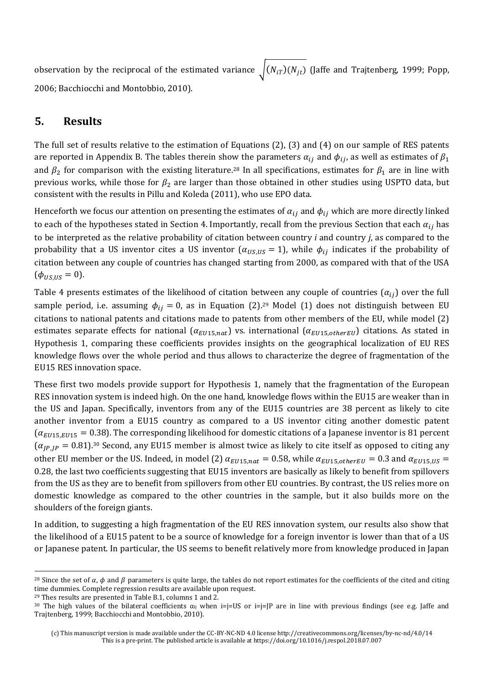observation by the reciprocal of the estimated variance  $\sqrt{(N_{iT})(N_{jt})}$  (Jaffe and Trajtenberg, 1999; Popp, 2006; Bacchiocchi and Montobbio, 2010).

### **5. Results**

The full set of results relative to the estimation of Equations (2), (3) and (4) on our sample of RES patents are reported in Appendix B. The tables therein show the parameters  $\alpha_{ij}$  and  $\phi_{ij}$ , as well as estimates of  $\beta_1$ and  $\beta_2$  for comparison with the existing literature.<sup>28</sup> In all specifications, estimates for  $\beta_1$  are in line with previous works, while those for  $\beta_2$  are larger than those obtained in other studies using USPTO data, but consistent with the results in Pillu and Koleda (2011), who use EPO data.

Henceforth we focus our attention on presenting the estimates of  $\alpha_{ij}$  and  $\phi_{ij}$  which are more directly linked to each of the hypotheses stated in Section 4. Importantly, recall from the previous Section that each  $\alpha_{ij}$  has to be interpreted as the relative probability of citation between country *i* and country *j*, as compared to the probability that a US inventor cites a US inventor ( $\alpha_{US,US} = 1$ ), while  $\phi_{ij}$  indicates if the probability of citation between any couple of countries has changed starting from 2000, as compared with that of the USA  $(\phi_{\text{US,US}} = 0).$ 

Table 4 presents estimates of the likelihood of citation between any couple of countries  $(\alpha_{ij})$  over the full sample period, i.e. assuming  $\phi_{ij} = 0$ , as in Equation (2).<sup>29</sup> Model (1) does not distinguish between EU citations to national patents and citations made to patents from other members of the EU, while model (2) estimates separate effects for national ( $\alpha_{EU15,nat}$ ) vs. international ( $\alpha_{EU15,otherEU}$ ) citations. As stated in Hypothesis 1, comparing these coefficients provides insights on the geographical localization of EU RES knowledge flows over the whole period and thus allows to characterize the degree of fragmentation of the EU15 RES innovation space.

These first two models provide support for Hypothesis 1, namely that the fragmentation of the European RES innovation system is indeed high. On the one hand, knowledge flows within the EU15 are weaker than in the US and Japan. Specifically, inventors from any of the EU15 countries are 38 percent as likely to cite another inventor from a EU15 country as compared to a US inventor citing another domestic patent  $(\alpha_{EU15,EU15} = 0.38)$ . The corresponding likelihood for domestic citations of a Japanese inventor is 81 percent  $(\alpha_{IP,IP} = 0.81)$ .<sup>30</sup> Second, any EU15 member is almost twice as likely to cite itself as opposed to citing any other EU member or the US. Indeed, in model (2)  $\alpha_{EU15, nat} = 0.58$ , while  $\alpha_{EU15,otherEU} = 0.3$  and  $\alpha_{EU15,US} =$ 0.28, the last two coefficients suggesting that EU15 inventors are basically as likely to benefit from spillovers from the US as they are to benefit from spillovers from other EU countries. By contrast, the US relies more on domestic knowledge as compared to the other countries in the sample, but it also builds more on the shoulders of the foreign giants.

In addition, to suggesting a high fragmentation of the EU RES innovation system, our results also show that the likelihood of a EU15 patent to be a source of knowledge for a foreign inventor is lower than that of a US or Japanese patent. In particular, the US seems to benefit relatively more from knowledge produced in Japan

<sup>29</sup> Thes results are presented in Table B.1, columns 1 and 2.

 $\overline{a}$ 

<sup>&</sup>lt;sup>28</sup> Since the set of  $\alpha$ ,  $\phi$  and  $\beta$  parameters is quite large, the tables do not report estimates for the coefficients of the cited and citing time dummies. Complete regression results are available upon request.

<sup>&</sup>lt;sup>30</sup> The high values of the bilateral coefficients  $\alpha_{ij}$  when  $i=j=U$ S or  $i=j=|P|$  are in line with previous findings (see e.g. Jaffe and Trajtenberg, 1999; Bacchiocchi and Montobbio, 2010).

<sup>(</sup>c) This manuscript version is made available under the CC-BY-NC-ND 4.0 license http://creativecommons.org/licenses/by-nc-nd/4.0/14 This is a pre-print. The published article is available at https://doi.org/10.1016/j.respol.2018.07.007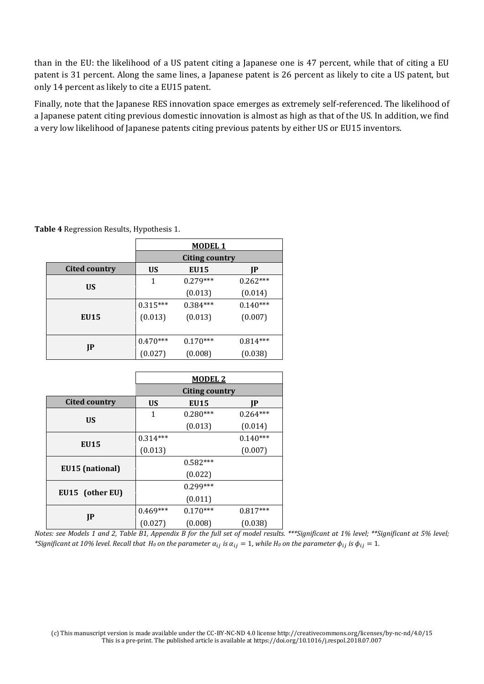than in the EU: the likelihood of a US patent citing a Japanese one is 47 percent, while that of citing a EU patent is 31 percent. Along the same lines, a Japanese patent is 26 percent as likely to cite a US patent, but only 14 percent as likely to cite a EU15 patent.

Finally, note that the Japanese RES innovation space emerges as extremely self-referenced. The likelihood of a Japanese patent citing previous domestic innovation is almost as high as that of the US. In addition, we find a very low likelihood of Japanese patents citing previous patents by either US or EU15 inventors.

|                      |            | <b>MODEL 1</b>        |            |
|----------------------|------------|-----------------------|------------|
|                      |            | <b>Citing country</b> |            |
| <b>Cited country</b> | <b>US</b>  | <b>EU15</b>           | IP         |
| <b>US</b>            | 1          | $0.279***$            | $0.262***$ |
|                      |            | (0.013)               | (0.014)    |
|                      | $0.315***$ | $0.384***$            | $0.140***$ |
| EU15                 | (0.013)    | (0.013)               | (0.007)    |
|                      |            |                       |            |
|                      | $0.470***$ | $0.170***$            | $0.814***$ |
| JP                   | (0.027)    | (0.008)               | (0.038)    |

**Table 4** Regression Results, Hypothesis 1.

|                        |            | <b>MODEL 2</b>        |            |
|------------------------|------------|-----------------------|------------|
|                        |            | <b>Citing country</b> |            |
| <b>Cited country</b>   | <b>US</b>  | EU15                  | IP         |
| <b>US</b>              | 1          | $0.280***$            | $0.264***$ |
|                        |            | (0.013)               | (0.014)    |
|                        | $0.314***$ |                       | $0.140***$ |
| EU15                   | (0.013)    |                       | (0.007)    |
|                        |            | $0.582***$            |            |
| <b>EU15</b> (national) |            | (0.022)               |            |
|                        |            | $0.299***$            |            |
| EU15 (other EU)        |            | (0.011)               |            |
|                        | $0.469***$ | $0.170***$            | $0.817***$ |
| JP                     | (0.027)    | (0.008)               | (0.038)    |

*Notes: see Models 1 and 2, Table B1, Appendix B for the full set of model results. \*\*\*Significant at 1% level; \*\*Significant at 5% level;*   $*$ Significant at 10% level. Recall that  $H_0$  on the parameter  $\alpha_{ij}$  is  $\alpha_{ij} = 1$ , while  $H_0$  on the parameter  $\phi_{ij}$  is  $\phi_{ij} = 1$ .

(c) This manuscript version is made available under the CC-BY-NC-ND 4.0 license http://creativecommons.org/licenses/by-nc-nd/4.0/15 This is a pre-print. The published article is available at https://doi.org/10.1016/j.respol.2018.07.007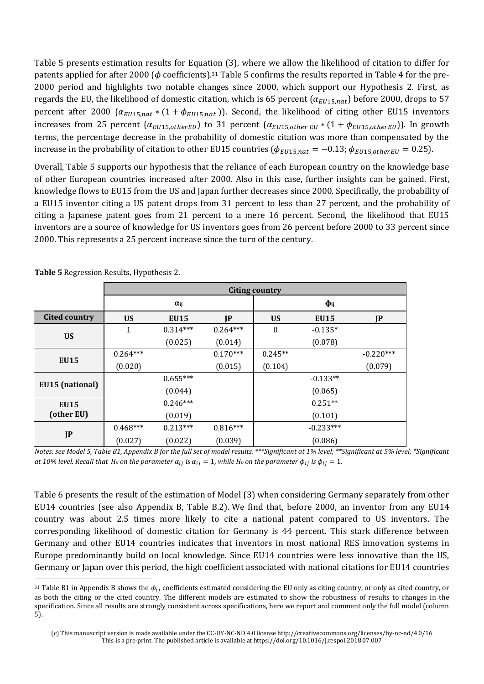Table 5 presents estimation results for Equation (3), where we allow the likelihood of citation to differ for patents applied for after 2000 ( $\phi$  coefficients).<sup>31</sup> Table 5 confirms the results reported in Table 4 for the pre-2000 period and highlights two notable changes since 2000, which support our Hypothesis 2. First, as regards the EU, the likelihood of domestic citation, which is 65 percent  $(\alpha_{EUI5, nat})$  before 2000, drops to 57 percent after 2000 ( $\alpha_{EU15, nat}$  \* (1 +  $\phi_{EU15, nat}$ )). Second, the likelihood of citing other EU15 inventors increases from 25 percent  $(\alpha_{EUI5,otherEU})$  to 31 percent  $(\alpha_{EUI5,other EU} * (1 + \phi_{EUI5,otherEU}))$ . In growth terms, the percentage decrease in the probability of domestic citation was more than compensated by the increase in the probability of citation to other EU15 countries ( $\phi_{EUI5, nat} = -0.13$ ;  $\phi_{EUI5, other EU} = 0.25$ ).

Overall, Table 5 supports our hypothesis that the reliance of each European country on the knowledge base of other European countries increased after 2000. Also in this case, further insights can be gained. First, knowledge flows to EU15 from the US and Japan further decreases since 2000. Specifically, the probability of a EU15 inventor citing a US patent drops from 31 percent to less than 27 percent, and the probability of citing a Japanese patent goes from 21 percent to a mere 16 percent. Second, the likelihood that EU15 inventors are a source of knowledge for US inventors goes from 26 percent before 2000 to 33 percent since 2000. This represents a 25 percent increase since the turn of the century.

|                      |            | <b>Citing country</b> |            |                  |             |             |  |  |  |
|----------------------|------------|-----------------------|------------|------------------|-------------|-------------|--|--|--|
|                      |            | $\alpha_{ij}$         |            | $\Phi$ ij        |             |             |  |  |  |
| <b>Cited country</b> | <b>US</b>  | <b>EU15</b>           | IP         | <b>US</b>        | <b>EU15</b> | JP          |  |  |  |
|                      | 1          | $0.314***$            | $0.264***$ | $\boldsymbol{0}$ | $-0.135*$   |             |  |  |  |
| <b>US</b>            |            | (0.025)               | (0.014)    |                  | (0.078)     |             |  |  |  |
| <b>EU15</b>          | $0.264***$ |                       | $0.170***$ | $0.245**$        |             | $-0.220***$ |  |  |  |
|                      | (0.020)    |                       | (0.015)    | (0.104)          |             | (0.079)     |  |  |  |
|                      |            | $0.655***$            |            |                  | $-0.133**$  |             |  |  |  |
| EU15 (national)      |            | (0.044)               |            |                  | (0.065)     |             |  |  |  |
| <b>EU15</b>          |            | $0.246***$            |            |                  | $0.251**$   |             |  |  |  |
| (other EU)           |            | (0.019)               |            |                  | (0.101)     |             |  |  |  |
|                      | $0.468***$ | $0.213***$            | $0.816***$ |                  | $-0.233***$ |             |  |  |  |
| JP                   | (0.027)    | (0.022)               | (0.039)    |                  | (0.086)     |             |  |  |  |

**Table 5** Regression Results, Hypothesis 2.

*Notes: see Model 5, Table B1, Appendix B for the full set of model results. \*\*\*Significant at 1% level; \*\*Significant at 5% level; \*Significant at 10% level. Recall that H<sub>0</sub>* on the parameter  $\alpha_{ij}$  is  $\alpha_{ij} = 1$ , while H<sub>0</sub> on the parameter  $\phi_{ij}$  is  $\phi_{ij} = 1$ .

Table 6 presents the result of the estimation of Model (3) when considering Germany separately from other EU14 countries (see also Appendix B, Table B.2). We find that, before 2000, an inventor from any EU14 country was about 2.5 times more likely to cite a national patent compared to US inventors. The corresponding likelihood of domestic citation for Germany is 44 percent. This stark difference between Germany and other EU14 countries indicates that inventors in most national RES innovation systems in Europe predominantly build on local knowledge. Since EU14 countries were less innovative than the US, Germany or Japan over this period, the high coefficient associated with national citations for EU14 countries  $\overline{a}$ 

<sup>&</sup>lt;sup>31</sup> Table B1 in Appendix B shows the  $\phi_{ij}$  coefficients estimated considering the EU only as citing country, or only as cited country, or as both the citing or the cited country. The different models are estimated to show the robustness of results to changes in the specification. Since all results are strongly consistent across specifications, here we report and comment only the full model (column 5).

<sup>(</sup>c) This manuscript version is made available under the CC-BY-NC-ND 4.0 license http://creativecommons.org/licenses/by-nc-nd/4.0/16 This is a pre-print. The published article is available at https://doi.org/10.1016/j.respol.2018.07.007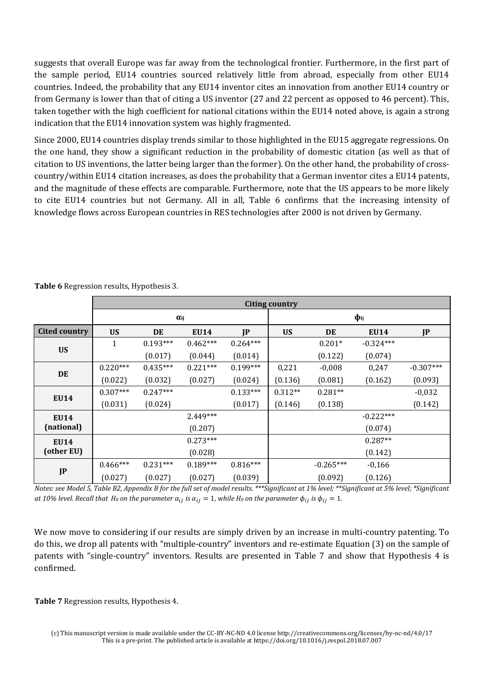suggests that overall Europe was far away from the technological frontier. Furthermore, in the first part of the sample period, EU14 countries sourced relatively little from abroad, especially from other EU14 countries. Indeed, the probability that any EU14 inventor cites an innovation from another EU14 country or from Germany is lower than that of citing a US inventor (27 and 22 percent as opposed to 46 percent). This, taken together with the high coefficient for national citations within the EU14 noted above, is again a strong indication that the EU14 innovation system was highly fragmented.

Since 2000, EU14 countries display trends similar to those highlighted in the EU15 aggregate regressions. On the one hand, they show a significant reduction in the probability of domestic citation (as well as that of citation to US inventions, the latter being larger than the former). On the other hand, the probability of crosscountry/within EU14 citation increases, as does the probability that a German inventor cites a EU14 patents, and the magnitude of these effects are comparable. Furthermore, note that the US appears to be more likely to cite EU14 countries but not Germany. All in all, Table 6 confirms that the increasing intensity of knowledge flows across European countries in RES technologies after 2000 is not driven by Germany.

|                      |              |               |             |            | <b>Citing country</b> |             |             |             |  |
|----------------------|--------------|---------------|-------------|------------|-----------------------|-------------|-------------|-------------|--|
|                      |              | $\alpha_{ij}$ |             |            |                       | $\Phi$ ij   |             |             |  |
| <b>Cited country</b> | <b>US</b>    | DE            | <b>EU14</b> | IP         | <b>US</b>             | DE          | <b>EU14</b> | JP          |  |
| <b>US</b>            | $\mathbf{1}$ | $0.193***$    | $0.462***$  | $0.264***$ |                       | $0.201*$    | $-0.324***$ |             |  |
|                      |              | (0.017)       | (0.044)     | (0.014)    |                       | (0.122)     | (0.074)     |             |  |
| DE                   | $0.220***$   | $0.435***$    | $0.221***$  | $0.199***$ | 0,221                 | $-0,008$    | 0,247       | $-0.307***$ |  |
|                      | (0.022)      | (0.032)       | (0.027)     | (0.024)    | (0.136)               | (0.081)     | (0.162)     | (0.093)     |  |
|                      | $0.307***$   | $0.247***$    |             | $0.133***$ | $0.312**$             | $0.281**$   |             | $-0,032$    |  |
| <b>EU14</b>          | (0.031)      | (0.024)       |             | (0.017)    | (0.146)               | (0.138)     |             | (0.142)     |  |
| <b>EU14</b>          |              |               | $2.449***$  |            |                       |             | $-0.222***$ |             |  |
| (national)           |              |               | (0.207)     |            |                       |             | (0.074)     |             |  |
| <b>EU14</b>          |              |               | $0.273***$  |            |                       |             | $0.287**$   |             |  |
| (other EU)           |              |               | (0.028)     |            |                       |             | (0.142)     |             |  |
|                      | $0.466***$   | $0.231***$    | $0.189***$  | $0.816***$ |                       | $-0.265***$ | $-0,166$    |             |  |
| JP                   | (0.027)      | (0.027)       | (0.027)     | (0.039)    |                       | (0.092)     | (0.126)     |             |  |

**Table 6** Regression results, Hypothesis 3.

*Notes: see Model 5, Table B2, Appendix B for the full set of model results. \*\*\*Significant at 1% level; \*\*Significant at 5% level; \*Significant at 10% level. Recall that H<sub>0</sub></sub> on the parameter*  $\alpha_{ij}$  *is*  $\alpha_{ij} = 1$ *, while H<sub>0</sub> on the parameter*  $\phi_{ij}$  *is*  $\phi_{ij} = 1$ *.* 

We now move to considering if our results are simply driven by an increase in multi-country patenting. To do this, we drop all patents with "multiple-country" inventors and re-estimate Equation (3) on the sample of patents with "single-country" inventors. Results are presented in Table 7 and show that Hypothesis 4 is confirmed.

**Table 7** Regression results, Hypothesis 4.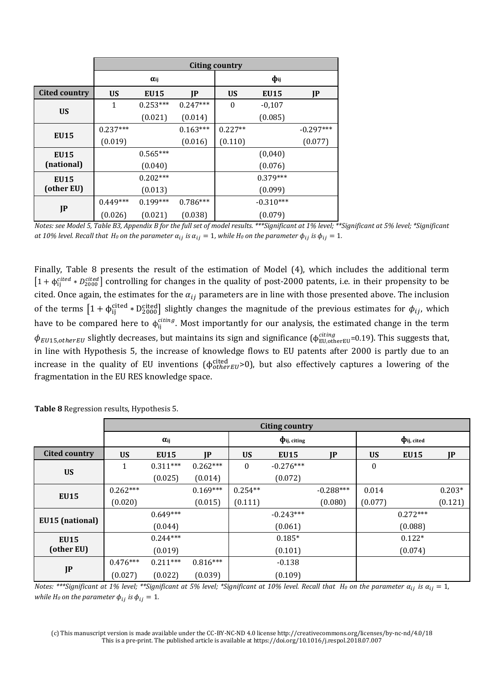|                      |            | Citing country |            |           |             |             |  |  |
|----------------------|------------|----------------|------------|-----------|-------------|-------------|--|--|
|                      |            | $\alpha_{ij}$  |            | $\Phi$ ij |             |             |  |  |
| <b>Cited country</b> | <b>US</b>  | <b>EU15</b>    | IP         | <b>US</b> | <b>EU15</b> | JP          |  |  |
| <b>US</b>            | 1          | $0.253***$     | $0.247***$ | $\bf{0}$  | $-0,107$    |             |  |  |
|                      |            | (0.021)        | (0.014)    |           | (0.085)     |             |  |  |
| <b>EU15</b>          | $0.237***$ |                | $0.163***$ | $0.227**$ |             | $-0.297***$ |  |  |
|                      | (0.019)    |                | (0.016)    | (0.110)   |             | (0.077)     |  |  |
| <b>EU15</b>          |            | $0.565***$     |            |           | (0,040)     |             |  |  |
| (national)           |            | (0.040)        |            |           | (0.076)     |             |  |  |
| <b>EU15</b>          |            | $0.202***$     |            |           | $0.379***$  |             |  |  |
| (other EU)           | (0.013)    |                |            | (0.099)   |             |             |  |  |
|                      | $0.449***$ | $0.199***$     | $0.786***$ |           | $-0.310***$ |             |  |  |
| JP                   | (0.026)    | (0.021)        | (0.038)    |           | (0.079)     |             |  |  |

*Notes: see Model 5, Table B3, Appendix B for the full set of model results. \*\*\*Significant at 1% level; \*\*Significant at 5% level; \*Significant at 10% level. Recall that H<sub>0</sub>* on the parameter  $\alpha_{ij}$  is  $\alpha_{ij} = 1$ , while H<sub>0</sub> on the parameter  $\phi_{ij}$  is  $\phi_{ij} = 1$ .

Finally, Table 8 presents the result of the estimation of Model (4), which includes the additional term  $[1+\phi_{ij}^{cited}*D_{2000}^{cited}]$  controlling for changes in the quality of post-2000 patents, i.e. in their propensity to be cited. Once again, the estimates for the  $\alpha_{ij}$  parameters are in line with those presented above. The inclusion of the terms  $[1 + \phi_{ij}^{\text{cited}} * D_{2000}^{\text{cited}}]$  slightly changes the magnitude of the previous estimates for  $\phi_{ij}$ , which have to be compared here to  $\phi_{ij}^{ctting}$ . Most importantly for our analysis, the estimated change in the term  $\phi_{EU15,otherEU}$  slightly decreases, but maintains its sign and significance ( $\phi_{EU,otherEU}^{cuting}$ =0.19). This suggests that, in line with Hypothesis 5, the increase of knowledge flows to EU patents after 2000 is partly due to an increase in the quality of EU inventions ( $\phi_{other\, U}^{\text{ctted}}$ >0), but also effectively captures a lowering of the fragmentation in the EU RES knowledge space.

|                      |               | <b>Citing country</b> |            |           |                   |             |                  |             |          |
|----------------------|---------------|-----------------------|------------|-----------|-------------------|-------------|------------------|-------------|----------|
|                      | $\alpha_{ij}$ |                       |            |           | $\Phi$ ij, citing |             | $\Phi$ ij, cited |             |          |
| <b>Cited country</b> | <b>US</b>     | <b>EU15</b>           | IP         | <b>US</b> | <b>EU15</b>       | JP          | <b>US</b>        | <b>EU15</b> | JP       |
| <b>US</b>            | 1             | $0.311***$            | $0.262***$ | $\bf{0}$  | $-0.276***$       |             | $\boldsymbol{0}$ |             |          |
|                      |               | (0.025)               | (0.014)    |           | (0.072)           |             |                  |             |          |
|                      | $0.262***$    |                       | $0.169***$ | $0.254**$ |                   | $-0.288***$ | 0.014            |             | $0.203*$ |
| <b>EU15</b>          | (0.020)       |                       | (0.015)    | (0.111)   |                   | (0.080)     | (0.077)          |             | (0.121)  |
|                      |               | $0.649***$            |            |           | $-0.243***$       |             |                  | $0.272***$  |          |
| EU15 (national)      |               | (0.044)               |            |           | (0.061)           |             |                  | (0.088)     |          |
| <b>EU15</b>          |               | $0.244***$            |            |           | $0.185*$          |             |                  | $0.122*$    |          |
| (other EU)           |               | (0.019)               |            |           | (0.101)           |             |                  | (0.074)     |          |
|                      | $0.476***$    | $0.211***$            | $0.816***$ |           | $-0.138$          |             |                  |             |          |
| JP                   | (0.027)       | (0.022)               | (0.039)    |           | (0.109)           |             |                  |             |          |

**Table 8** Regression results, Hypothesis 5.

*Notes:* \*\*\*Significant at 1% level; \*\*Significant at 5% level; \*Significant at 10% level. Recall that H<sub>0</sub> on the parameter  $\alpha_{ij}$  is  $\alpha_{ij} = 1$ , *while H<sub>0</sub>* on the parameter  $\phi_{ij}$  is  $\phi_{ij} = 1$ .

(c) This manuscript version is made available under the CC-BY-NC-ND 4.0 license http://creativecommons.org/licenses/by-nc-nd/4.0/18 This is a pre-print. The published article is available at https://doi.org/10.1016/j.respol.2018.07.007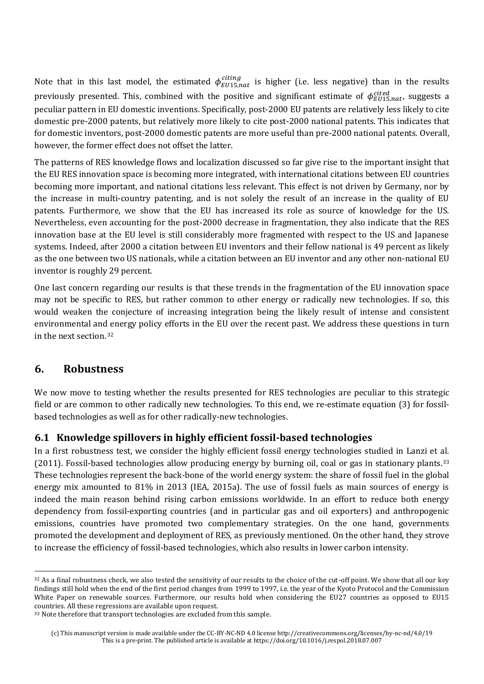Note that in this last model, the estimated  $\phi_{EU15, nat}^{cuting}$  is higher (i.e. less negative) than in the results previously presented. This, combined with the positive and significant estimate of  $\phi_{EU15, nat}^{cited}$ , suggests a peculiar pattern in EU domestic inventions. Specifically, post-2000 EU patents are relatively less likely to cite domestic pre-2000 patents, but relatively more likely to cite post-2000 national patents. This indicates that for domestic inventors, post-2000 domestic patents are more useful than pre-2000 national patents. Overall, however, the former effect does not offset the latter.

The patterns of RES knowledge flows and localization discussed so far give rise to the important insight that the EU RES innovation space is becoming more integrated, with international citations between EU countries becoming more important, and national citations less relevant. This effect is not driven by Germany, nor by the increase in multi-country patenting, and is not solely the result of an increase in the quality of EU patents. Furthermore, we show that the EU has increased its role as source of knowledge for the US. Nevertheless, even accounting for the post-2000 decrease in fragmentation, they also indicate that the RES innovation base at the EU level is still considerably more fragmented with respect to the US and Japanese systems. Indeed, after 2000 a citation between EU inventors and their fellow national is 49 percent as likely as the one between two US nationals, while a citation between an EU inventor and any other non-national EU inventor is roughly 29 percent.

One last concern regarding our results is that these trends in the fragmentation of the EU innovation space may not be specific to RES, but rather common to other energy or radically new technologies. If so, this would weaken the conjecture of increasing integration being the likely result of intense and consistent environmental and energy policy efforts in the EU over the recent past. We address these questions in turn in the next section. <sup>32</sup>

#### **6. Robustness**

 $\overline{a}$ 

We now move to testing whether the results presented for RES technologies are peculiar to this strategic field or are common to other radically new technologies. To this end, we re-estimate equation (3) for fossilbased technologies as well as for other radically-new technologies.

#### **6.1 Knowledge spillovers in highly efficient fossil-based technologies**

In a first robustness test, we consider the highly efficient fossil energy technologies studied in Lanzi et al. (2011). Fossil-based technologies allow producing energy by burning oil, coal or gas in stationary plants.<sup>33</sup> These technologies represent the back-bone of the world energy system: the share of fossil fuel in the global energy mix amounted to 81% in 2013 (IEA, 2015a). The use of fossil fuels as main sources of energy is indeed the main reason behind rising carbon emissions worldwide. In an effort to reduce both energy dependency from fossil-exporting countries (and in particular gas and oil exporters) and anthropogenic emissions, countries have promoted two complementary strategies. On the one hand, governments promoted the development and deployment of RES, as previously mentioned. On the other hand, they strove to increase the efficiency of fossil-based technologies, which also results in lower carbon intensity.

<sup>32</sup> As a final robustness check, we also tested the sensitivity of our results to the choice of the cut-off point. We show that all our key findings still hold when the end of the first period changes from 1999 to 1997, i.e. the year of the Kyoto Protocol and the Commission White Paper on renewable sources. Furthermore, our results hold when considering the EU27 countries as opposed to EU15 countries. All these regressions are available upon request.

<sup>&</sup>lt;sup>33</sup> Note therefore that transport technologies are excluded from this sample.

<sup>(</sup>c) This manuscript version is made available under the CC-BY-NC-ND 4.0 license http://creativecommons.org/licenses/by-nc-nd/4.0/19 This is a pre-print. The published article is available at https://doi.org/10.1016/j.respol.2018.07.007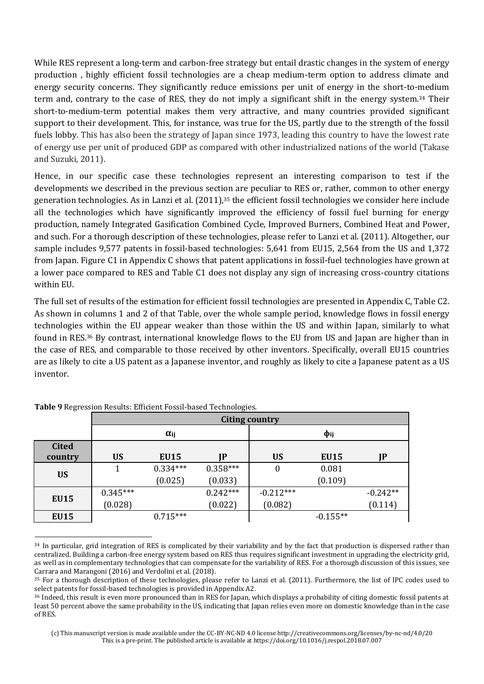While RES represent a long-term and carbon-free strategy but entail drastic changes in the system of energy production , highly efficient fossil technologies are a cheap medium-term option to address climate and energy security concerns. They significantly reduce emissions per unit of energy in the short-to-medium term and, contrary to the case of RES, they do not imply a significant shift in the energy system.34 Their short-to-medium-term potential makes them very attractive, and many countries provided significant support to their development. This, for instance, was true for the US, partly due to the strength of the fossil fuels lobby. This has also been the strategy of Japan since 1973, leading this country to have the lowest rate of energy use per unit of produced GDP as compared with other industrialized nations of the world (Takase and Suzuki, 2011).

Hence, in our specific case these technologies represent an interesting comparison to test if the developments we described in the previous section are peculiar to RES or, rather, common to other energy generation technologies. As in Lanzi et al. (2011),35 the efficient fossil technologies we consider here include all the technologies which have significantly improved the efficiency of fossil fuel burning for energy production, namely Integrated Gasification Combined Cycle, Improved Burners, Combined Heat and Power, and such. For a thorough description of these technologies, please refer to Lanzi et al. (2011). Altogether, our sample includes 9,577 patents in fossil-based technologies: 5,641 from EU15, 2,564 from the US and 1,372 from Japan. Figure C1 in Appendix C shows that patent applications in fossil-fuel technologies have grown at a lower pace compared to RES and Table C1 does not display any sign of increasing cross-country citations within EU.

The full set of results of the estimation for efficient fossil technologies are presented in Appendix C, Table C2. As shown in columns 1 and 2 of that Table, over the whole sample period, knowledge flows in fossil energy technologies within the EU appear weaker than those within the US and within Japan, similarly to what found in RES.36 By contrast, international knowledge flows to the EU from US and Japan are higher than in the case of RES, and comparable to those received by other inventors. Specifically, overall EU15 countries are as likely to cite a US patent as a Japanese inventor, and roughly as likely to cite a Japanese patent as a US inventor.

|              |            | <b>Citing country</b> |            |                  |             |            |  |  |
|--------------|------------|-----------------------|------------|------------------|-------------|------------|--|--|
|              |            | $\alpha_{ij}$         |            | $\Phi$ ij        |             |            |  |  |
| <b>Cited</b> |            |                       |            |                  |             |            |  |  |
| country      | <b>US</b>  | EU15                  | IP         | <b>US</b>        | <b>EU15</b> | IP         |  |  |
| <b>US</b>    |            | $0.334***$            | $0.358***$ | $\boldsymbol{0}$ | 0.081       |            |  |  |
|              |            | (0.025)               | (0.033)    |                  | (0.109)     |            |  |  |
| <b>EU15</b>  | $0.345***$ |                       | $0.242***$ | $-0.212***$      |             | $-0.242**$ |  |  |
|              | (0.028)    |                       | (0.022)    | (0.082)          |             | (0.114)    |  |  |
| <b>EU15</b>  |            | $0.715***$            |            |                  | $-0.155**$  |            |  |  |

**Table 9** Regression Results: Efficient Fossil-based Technologies.

l

<sup>&</sup>lt;sup>34</sup> In particular, grid integration of RES is complicated by their variability and by the fact that production is dispersed rather than centralized. Building a carbon-free energy system based on RES thus requires significant investment in upgrading the electricity grid, as well as in complementary technologies that can compensate for the variability of RES. For a thorough discussion of this issues, see Carrara and Marangoni (2016) and Verdolini et al. (2018).

<sup>35</sup> For a thorough description of these technologies, please refer to Lanzi et al. (2011). Furthermore, the list of IPC codes used to select patents for fossil-based technologies is provided in Appendix A2.

<sup>36</sup> Indeed, this result is even more pronounced than in RES for Japan, which displays a probability of citing domestic fossil patents at least 50 percent above the same probability in the US, indicating that Japan relies even more on domestic knowledge than in the case of RES.

<sup>(</sup>c) This manuscript version is made available under the CC-BY-NC-ND 4.0 license http://creativecommons.org/licenses/by-nc-nd/4.0/20 This is a pre-print. The published article is available at https://doi.org/10.1016/j.respol.2018.07.007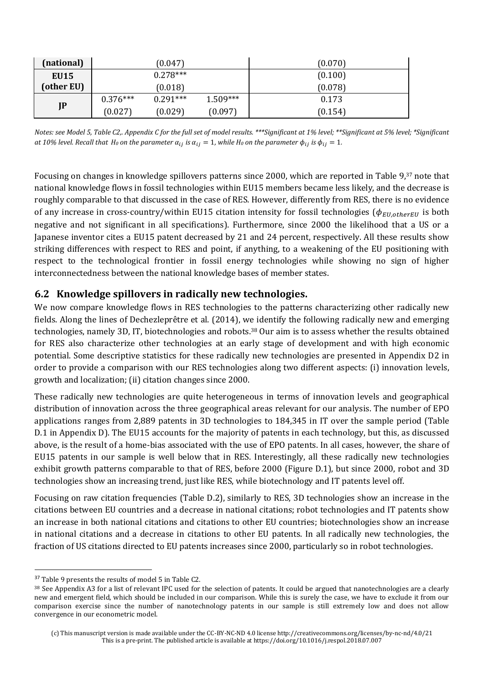| (national)  |            | (0.047)    |            | (0.070) |
|-------------|------------|------------|------------|---------|
| <b>EU15</b> |            | $0.278***$ |            | (0.100) |
| (other EU)  |            | (0.018)    |            | (0.078) |
|             | $0.376***$ | $0.291***$ | $1.509***$ | 0.173   |
| JP          | (0.027)    | (0.029)    | (0.097)    | (0.154) |

*Notes: see Model 5, Table C2,. Appendix C for the full set of model results. \*\*\*Significant at 1% level; \*\*Significant at 5% level; \*Significant at 10% level. Recall that H<sub>0</sub></sub> on the parameter*  $\alpha_{ij}$  *is*  $\alpha_{ij} = 1$ *, while H<sub>0</sub> on the parameter*  $\phi_{ij}$  *is*  $\phi_{ij} = 1$ *.* 

Focusing on changes in knowledge spillovers patterns since 2000, which are reported in Table 9,37 note that national knowledge flows in fossil technologies within EU15 members became less likely, and the decrease is roughly comparable to that discussed in the case of RES. However, differently from RES, there is no evidence of any increase in cross-country/within EU15 citation intensity for fossil technologies ( $\phi_{EU,otherEU}$  is both negative and not significant in all specifications). Furthermore, since 2000 the likelihood that a US or a Japanese inventor cites a EU15 patent decreased by 21 and 24 percent, respectively. All these results show striking differences with respect to RES and point, if anything, to a weakening of the EU positioning with respect to the technological frontier in fossil energy technologies while showing no sign of higher interconnectedness between the national knowledge bases of member states.

#### **6.2 Knowledge spillovers in radically new technologies.**

We now compare knowledge flows in RES technologies to the patterns characterizing other radically new fields. Along the lines of Dechezleprêtre et al. (2014), we identify the following radically new and emerging technologies, namely 3D, IT, biotechnologies and robots.38 Our aim is to assess whether the results obtained for RES also characterize other technologies at an early stage of development and with high economic potential. Some descriptive statistics for these radically new technologies are presented in Appendix D2 in order to provide a comparison with our RES technologies along two different aspects: (i) innovation levels, growth and localization; (ii) citation changes since 2000.

These radically new technologies are quite heterogeneous in terms of innovation levels and geographical distribution of innovation across the three geographical areas relevant for our analysis. The number of EPO applications ranges from 2,889 patents in 3D technologies to 184,345 in IT over the sample period (Table D.1 in Appendix D). The EU15 accounts for the majority of patents in each technology, but this, as discussed above, is the result of a home-bias associated with the use of EPO patents. In all cases, however, the share of EU15 patents in our sample is well below that in RES. Interestingly, all these radically new technologies exhibit growth patterns comparable to that of RES, before 2000 (Figure D.1), but since 2000, robot and 3D technologies show an increasing trend, just like RES, while biotechnology and IT patents level off.

Focusing on raw citation frequencies (Table D.2), similarly to RES, 3D technologies show an increase in the citations between EU countries and a decrease in national citations; robot technologies and IT patents show an increase in both national citations and citations to other EU countries; biotechnologies show an increase in national citations and a decrease in citations to other EU patents. In all radically new technologies, the fraction of US citations directed to EU patents increases since 2000, particularly so in robot technologies.

l

<sup>&</sup>lt;sup>37</sup> Table 9 presents the results of model 5 in Table C2.

<sup>38</sup> See Appendix A3 for a list of relevant IPC used for the selection of patents. It could be argued that nanotechnologies are a clearly new and emergent field, which should be included in our comparison. While this is surely the case, we have to exclude it from our comparison exercise since the number of nanotechnology patents in our sample is still extremely low and does not allow convergence in our econometric model.

<sup>(</sup>c) This manuscript version is made available under the CC-BY-NC-ND 4.0 license http://creativecommons.org/licenses/by-nc-nd/4.0/21 This is a pre-print. The published article is available at https://doi.org/10.1016/j.respol.2018.07.007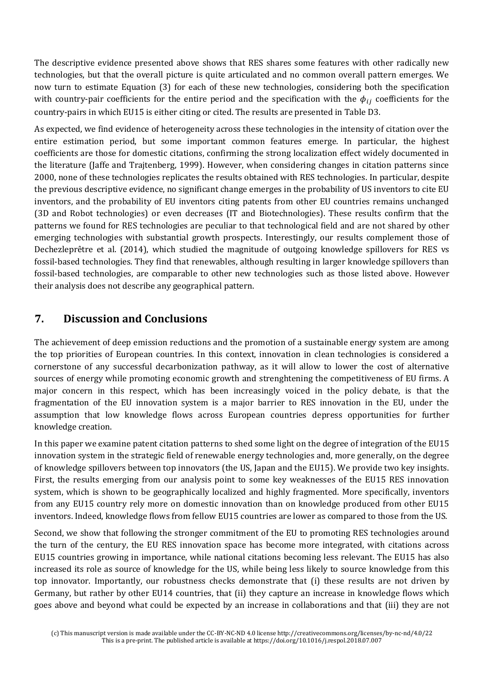The descriptive evidence presented above shows that RES shares some features with other radically new technologies, but that the overall picture is quite articulated and no common overall pattern emerges. We now turn to estimate Equation (3) for each of these new technologies, considering both the specification with country-pair coefficients for the entire period and the specification with the  $\phi_{ij}$  coefficients for the country-pairs in which EU15 is either citing or cited. The results are presented in Table D3.

As expected, we find evidence of heterogeneity across these technologies in the intensity of citation over the entire estimation period, but some important common features emerge. In particular, the highest coefficients are those for domestic citations, confirming the strong localization effect widely documented in the literature (Jaffe and Trajtenberg, 1999). However, when considering changes in citation patterns since 2000, none of these technologies replicates the results obtained with RES technologies. In particular, despite the previous descriptive evidence, no significant change emerges in the probability of US inventors to cite EU inventors, and the probability of EU inventors citing patents from other EU countries remains unchanged (3D and Robot technologies) or even decreases (IT and Biotechnologies). These results confirm that the patterns we found for RES technologies are peculiar to that technological field and are not shared by other emerging technologies with substantial growth prospects. Interestingly, our results complement those of Dechezleprêtre et al. (2014), which studied the magnitude of outgoing knowledge spillovers for RES vs fossil-based technologies. They find that renewables, although resulting in larger knowledge spillovers than fossil-based technologies, are comparable to other new technologies such as those listed above. However their analysis does not describe any geographical pattern.

## **7. Discussion and Conclusions**

The achievement of deep emission reductions and the promotion of a sustainable energy system are among the top priorities of European countries. In this context, innovation in clean technologies is considered a cornerstone of any successful decarbonization pathway, as it will allow to lower the cost of alternative sources of energy while promoting economic growth and strenghtening the competitiveness of EU firms. A major concern in this respect, which has been increasingly voiced in the policy debate, is that the fragmentation of the EU innovation system is a major barrier to RES innovation in the EU, under the assumption that low knowledge flows across European countries depress opportunities for further knowledge creation.

In this paper we examine patent citation patterns to shed some light on the degree of integration of the EU15 innovation system in the strategic field of renewable energy technologies and, more generally, on the degree of knowledge spillovers between top innovators (the US, Japan and the EU15). We provide two key insights. First, the results emerging from our analysis point to some key weaknesses of the EU15 RES innovation system, which is shown to be geographically localized and highly fragmented. More specifically, inventors from any EU15 country rely more on domestic innovation than on knowledge produced from other EU15 inventors. Indeed, knowledge flows from fellow EU15 countries are lower as compared to those from the US.

Second, we show that following the stronger commitment of the EU to promoting RES technologies around the turn of the century, the EU RES innovation space has become more integrated, with citations across EU15 countries growing in importance, while national citations becoming less relevant. The EU15 has also increased its role as source of knowledge for the US, while being less likely to source knowledge from this top innovator. Importantly, our robustness checks demonstrate that (i) these results are not driven by Germany, but rather by other EU14 countries, that (ii) they capture an increase in knowledge flows which goes above and beyond what could be expected by an increase in collaborations and that (iii) they are not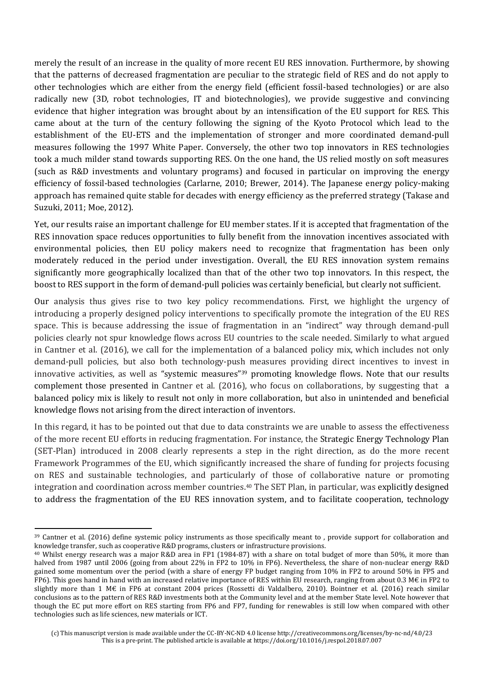merely the result of an increase in the quality of more recent EU RES innovation. Furthermore, by showing that the patterns of decreased fragmentation are peculiar to the strategic field of RES and do not apply to other technologies which are either from the energy field (efficient fossil-based technologies) or are also radically new (3D, robot technologies, IT and biotechnologies), we provide suggestive and convincing evidence that higher integration was brought about by an intensification of the EU support for RES. This came about at the turn of the century following the signing of the Kyoto Protocol which lead to the establishment of the EU-ETS and the implementation of stronger and more coordinated demand-pull measures following the 1997 White Paper. Conversely, the other two top innovators in RES technologies took a much milder stand towards supporting RES. On the one hand, the US relied mostly on soft measures (such as R&D investments and voluntary programs) and focused in particular on improving the energy efficiency of fossil-based technologies (Carlarne, 2010; Brewer, 2014). The Japanese energy policy-making approach has remained quite stable for decades with energy efficiency as the preferred strategy (Takase and Suzuki, 2011; Moe, 2012).

Yet, our results raise an important challenge for EU member states. If it is accepted that fragmentation of the RES innovation space reduces opportunities to fully benefit from the innovation incentives associated with environmental policies, then EU policy makers need to recognize that fragmentation has been only moderately reduced in the period under investigation. Overall, the EU RES innovation system remains significantly more geographically localized than that of the other two top innovators. In this respect, the boost to RES support in the form of demand-pull policies was certainly beneficial, but clearly not sufficient.

Our analysis thus gives rise to two key policy recommendations. First, we highlight the urgency of introducing a properly designed policy interventions to specifically promote the integration of the EU RES space. This is because addressing the issue of fragmentation in an "indirect" way through demand-pull policies clearly not spur knowledge flows across EU countries to the scale needed. Similarly to what argued in Cantner et al. (2016), we call for the implementation of a balanced policy mix, which includes not only demand-pull policies, but also both technology-push measures providing direct incentives to invest in innovative activities, as well as "systemic measures"<sup>39</sup> promoting knowledge flows. Note that our results complement those presented in Cantner et al. (2016), who focus on collaborations, by suggesting that a balanced policy mix is likely to result not only in more collaboration, but also in unintended and beneficial knowledge flows not arising from the direct interaction of inventors.

In this regard, it has to be pointed out that due to data constraints we are unable to assess the effectiveness of the more recent EU efforts in reducing fragmentation. For instance, the Strategic Energy Technology Plan (SET-Plan) introduced in 2008 clearly represents a step in the right direction, as do the more recent Framework Programmes of the EU, which significantly increased the share of funding for projects focusing on RES and sustainable technologies, and particularly of those of collaborative nature or promoting integration and coordination across member countries.40 The SET Plan, in particular, was explicitly designed to address the fragmentation of the EU RES innovation system, and to facilitate cooperation, technology

l

<sup>39</sup> Cantner et al. (2016) define systemic policy instruments as those specifically meant to , provide support for collaboration and knowledge transfer, such as cooperative R&D programs, clusters or infrastructure provisions.

<sup>40</sup> Whilst energy research was a major R&D area in FP1 (1984-87) with a share on total budget of more than 50%, it more than halved from 1987 until 2006 (going from about 22% in FP2 to 10% in FP6). Nevertheless, the share of non-nuclear energy R&D gained some momentum over the period (with a share of energy FP budget ranging from 10% in FP2 to around 50% in FP5 and FP6). This goes hand in hand with an increased relative importance of RES within EU research, ranging from about 0.3 M€ in FP2 to slightly more than 1 M€ in FP6 at constant 2004 prices (Rossetti di Valdalbero, 2010). Bointner et al. (2016) reach similar conclusions as to the pattern of RES R&D investments both at the Community level and at the member State level. Note however that though the EC put more effort on RES starting from FP6 and FP7, funding for renewables is still low when compared with other technologies such as life sciences, new materials or ICT.

<sup>(</sup>c) This manuscript version is made available under the CC-BY-NC-ND 4.0 license http://creativecommons.org/licenses/by-nc-nd/4.0/23 This is a pre-print. The published article is available at https://doi.org/10.1016/j.respol.2018.07.007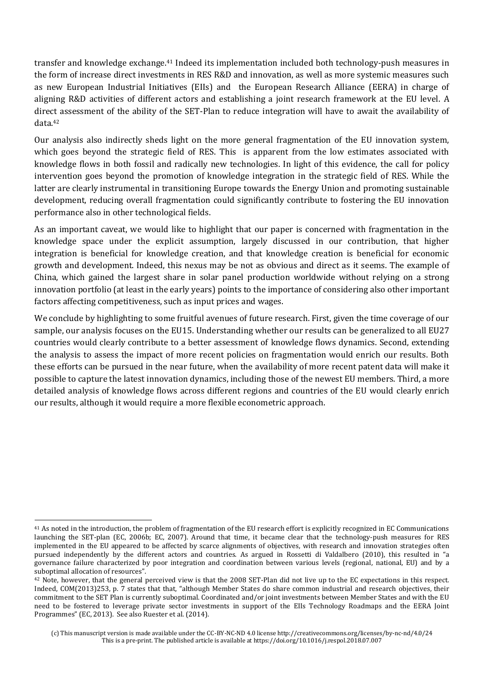transfer and knowledge exchange.41 Indeed its implementation included both technology-push measures in the form of increase direct investments in RES R&D and innovation, as well as more systemic measures such as new European Industrial Initiatives (EIIs) and the European Research Alliance (EERA) in charge of aligning R&D activities of different actors and establishing a joint research framework at the EU level. A direct assessment of the ability of the SET-Plan to reduce integration will have to await the availability of data.<sup>42</sup>

Our analysis also indirectly sheds light on the more general fragmentation of the EU innovation system, which goes beyond the strategic field of RES. This is apparent from the low estimates associated with knowledge flows in both fossil and radically new technologies. In light of this evidence, the call for policy intervention goes beyond the promotion of knowledge integration in the strategic field of RES. While the latter are clearly instrumental in transitioning Europe towards the Energy Union and promoting sustainable development, reducing overall fragmentation could significantly contribute to fostering the EU innovation performance also in other technological fields.

As an important caveat, we would like to highlight that our paper is concerned with fragmentation in the knowledge space under the explicit assumption, largely discussed in our contribution, that higher integration is beneficial for knowledge creation, and that knowledge creation is beneficial for economic growth and development. Indeed, this nexus may be not as obvious and direct as it seems. The example of China, which gained the largest share in solar panel production worldwide without relying on a strong innovation portfolio (at least in the early years) points to the importance of considering also other important factors affecting competitiveness, such as input prices and wages.

We conclude by highlighting to some fruitful avenues of future research. First, given the time coverage of our sample, our analysis focuses on the EU15. Understanding whether our results can be generalized to all EU27 countries would clearly contribute to a better assessment of knowledge flows dynamics. Second, extending the analysis to assess the impact of more recent policies on fragmentation would enrich our results. Both these efforts can be pursued in the near future, when the availability of more recent patent data will make it possible to capture the latest innovation dynamics, including those of the newest EU members. Third, a more detailed analysis of knowledge flows across different regions and countries of the EU would clearly enrich our results, although it would require a more flexible econometric approach.

l

<sup>41</sup> As noted in the introduction, the problem of fragmentation of the EU research effort is explicitly recognized in EC Communications launching the SET-plan (EC, 2006b; EC, 2007). Around that time, it became clear that the technology-push measures for RES implemented in the EU appeared to be affected by scarce alignments of objectives, with research and innovation strategies often pursued independently by the different actors and countries. As argued in Rossetti di Valdalbero (2010), this resulted in "a governance failure characterized by poor integration and coordination between various levels (regional, national, EU) and by a suboptimal allocation of resources".

<sup>42</sup> Note, however, that the general perceived view is that the 2008 SET-Plan did not live up to the EC expectations in this respect. Indeed, COM(2013)253, p. 7 states that that, "although Member States do share common industrial and research objectives, their commitment to the SET Plan is currently suboptimal. Coordinated and/or joint investments between Member States and with the EU need to be fostered to leverage private sector investments in support of the EIIs Technology Roadmaps and the EERA Joint Programmes" (EC, 2013). See also Ruester et al. (2014).

<sup>(</sup>c) This manuscript version is made available under the CC-BY-NC-ND 4.0 license http://creativecommons.org/licenses/by-nc-nd/4.0/24 This is a pre-print. The published article is available at https://doi.org/10.1016/j.respol.2018.07.007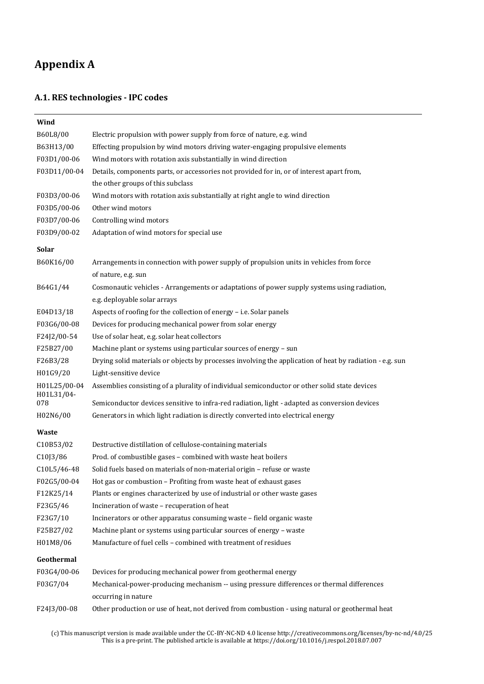## **Appendix A**

#### **A.1. RES technologies - IPC codes**

| Wind                       |                                                                                                                  |
|----------------------------|------------------------------------------------------------------------------------------------------------------|
| B60L8/00                   | Electric propulsion with power supply from force of nature, e.g. wind                                            |
| B63H13/00                  | Effecting propulsion by wind motors driving water-engaging propulsive elements                                   |
| F03D1/00-06                | Wind motors with rotation axis substantially in wind direction                                                   |
| F03D11/00-04               | Details, components parts, or accessories not provided for in, or of interest apart from,                        |
|                            | the other groups of this subclass                                                                                |
| F03D3/00-06                | Wind motors with rotation axis substantially at right angle to wind direction                                    |
| F03D5/00-06                | Other wind motors                                                                                                |
| F03D7/00-06                | Controlling wind motors                                                                                          |
| F03D9/00-02                | Adaptation of wind motors for special use                                                                        |
| <b>Solar</b>               |                                                                                                                  |
| B60K16/00                  | Arrangements in connection with power supply of propulsion units in vehicles from force                          |
|                            | of nature, e.g. sun                                                                                              |
| B64G1/44                   | Cosmonautic vehicles - Arrangements or adaptations of power supply systems using radiation,                      |
|                            | e.g. deployable solar arrays                                                                                     |
| E04D13/18                  | Aspects of roofing for the collection of energy - i.e. Solar panels                                              |
| F03G6/00-08                | Devices for producing mechanical power from solar energy                                                         |
| F24J2/00-54                | Use of solar heat, e.g. solar heat collectors                                                                    |
| F25B27/00                  | Machine plant or systems using particular sources of energy - sun                                                |
| F26B3/28                   | Drying solid materials or objects by processes involving the application of heat by radiation - e.g. sun         |
| H01G9/20                   | Light-sensitive device                                                                                           |
| H01L25/00-04<br>H01L31/04- | Assemblies consisting of a plurality of individual semiconductor or other solid state devices                    |
| 078                        | Semiconductor devices sensitive to infra-red radiation, light - adapted as conversion devices                    |
| H02N6/00                   | Generators in which light radiation is directly converted into electrical energy                                 |
| <b>Waste</b>               |                                                                                                                  |
| C10B53/02                  | Destructive distillation of cellulose-containing materials                                                       |
| C10J3/86                   | Prod. of combustible gases - combined with waste heat boilers                                                    |
| C10L5/46-48                | Solid fuels based on materials of non-material origin - refuse or waste                                          |
| F02G5/00-04                | Hot gas or combustion - Profiting from waste heat of exhaust gases                                               |
| F12K25/14                  | Plants or engines characterized by use of industrial or other waste gases                                        |
| F23G5/46                   | Incineration of waste - recuperation of heat                                                                     |
| F23G7/10                   | Incinerators or other apparatus consuming waste - field organic waste                                            |
| F25B27/02                  | Machine plant or systems using particular sources of energy - waste                                              |
| H01M8/06                   | Manufacture of fuel cells - combined with treatment of residues                                                  |
| Geothermal                 |                                                                                                                  |
| F03G4/00-06                | Devices for producing mechanical power from geothermal energy                                                    |
| F03G7/04                   | Mechanical-power-producing mechanism -- using pressure differences or thermal differences<br>occurring in nature |
| F24J3/00-08                | Other production or use of heat, not derived from combustion - using natural or geothermal heat                  |

(c) This manuscript version is made available under the CC-BY-NC-ND 4.0 license http://creativecommons.org/licenses/by-nc-nd/4.0/25 This is a pre-print. The published article is available at https://doi.org/10.1016/j.respol.2018.07.007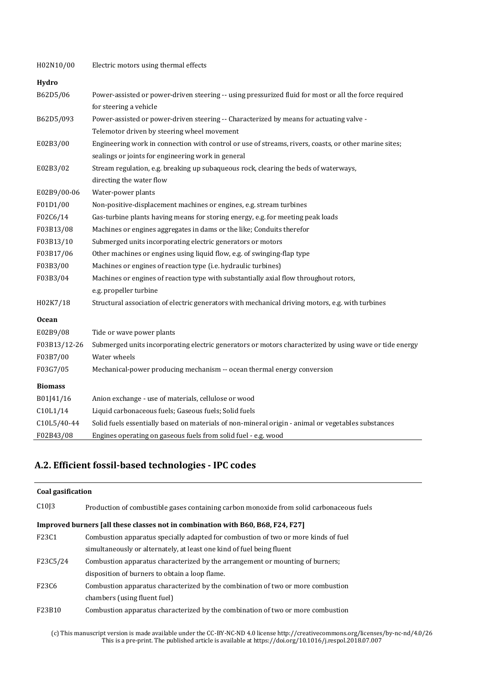| H02N10/00      | Electric motors using thermal effects                                                                  |
|----------------|--------------------------------------------------------------------------------------------------------|
| Hydro          |                                                                                                        |
| B62D5/06       | Power-assisted or power-driven steering -- using pressurized fluid for most or all the force required  |
|                | for steering a vehicle                                                                                 |
| B62D5/093      | Power-assisted or power-driven steering -- Characterized by means for actuating valve -                |
|                | Telemotor driven by steering wheel movement                                                            |
| E02B3/00       | Engineering work in connection with control or use of streams, rivers, coasts, or other marine sites;  |
|                | sealings or joints for engineering work in general                                                     |
| E02B3/02       | Stream regulation, e.g. breaking up subaqueous rock, clearing the beds of waterways,                   |
|                | directing the water flow                                                                               |
| E02B9/00-06    | Water-power plants                                                                                     |
| F01D1/00       | Non-positive-displacement machines or engines, e.g. stream turbines                                    |
| F02C6/14       | Gas-turbine plants having means for storing energy, e.g. for meeting peak loads                        |
| F03B13/08      | Machines or engines aggregates in dams or the like; Conduits therefor                                  |
| F03B13/10      | Submerged units incorporating electric generators or motors                                            |
| F03B17/06      | Other machines or engines using liquid flow, e.g. of swinging-flap type                                |
| F03B3/00       | Machines or engines of reaction type (i.e. hydraulic turbines)                                         |
| F03B3/04       | Machines or engines of reaction type with substantially axial flow throughout rotors,                  |
|                | e.g. propeller turbine                                                                                 |
| H02K7/18       | Structural association of electric generators with mechanical driving motors, e.g. with turbines       |
| <b>Ocean</b>   |                                                                                                        |
| E02B9/08       | Tide or wave power plants                                                                              |
| F03B13/12-26   | Submerged units incorporating electric generators or motors characterized by using wave or tide energy |
| F03B7/00       | Water wheels                                                                                           |
| F03G7/05       | Mechanical-power producing mechanism -- ocean thermal energy conversion                                |
| <b>Biomass</b> |                                                                                                        |
| B01J41/16      | Anion exchange - use of materials, cellulose or wood                                                   |
| C10L1/14       | Liquid carbonaceous fuels; Gaseous fuels; Solid fuels                                                  |
| C10L5/40-44    | Solid fuels essentially based on materials of non-mineral origin - animal or vegetables substances     |
| F02B43/08      | Engines operating on gaseous fuels from solid fuel - e.g. wood                                         |

### **A.2. Efficient fossil-based technologies - IPC codes**

| Coal gasification |                                                                                          |  |  |  |  |  |  |  |
|-------------------|------------------------------------------------------------------------------------------|--|--|--|--|--|--|--|
| C1013             | Production of combustible gases containing carbon monoxide from solid carbonaceous fuels |  |  |  |  |  |  |  |
|                   | Improved burners [all these classes not in combination with B60, B68, F24, F27]          |  |  |  |  |  |  |  |
| F23C1             | Combustion apparatus specially adapted for combustion of two or more kinds of fuel       |  |  |  |  |  |  |  |
|                   | simultaneously or alternately, at least one kind of fuel being fluent                    |  |  |  |  |  |  |  |
| F23C5/24          | Combustion apparatus characterized by the arrangement or mounting of burners;            |  |  |  |  |  |  |  |
|                   | disposition of burners to obtain a loop flame.                                           |  |  |  |  |  |  |  |
| F23C6             | Combustion apparatus characterized by the combination of two or more combustion          |  |  |  |  |  |  |  |
|                   | chambers (using fluent fuel)                                                             |  |  |  |  |  |  |  |
| F23B10            | Combustion apparatus characterized by the combination of two or more combustion          |  |  |  |  |  |  |  |

(c) This manuscript version is made available under the CC-BY-NC-ND 4.0 license http://creativecommons.org/licenses/by-nc-nd/4.0/26 This is a pre-print. The published article is available at https://doi.org/10.1016/j.respol.2018.07.007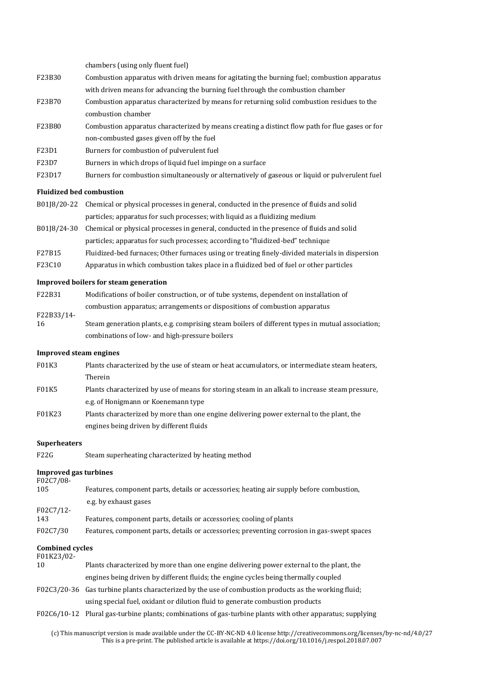|                                    | chambers (using only fluent fuel)                                                                         |
|------------------------------------|-----------------------------------------------------------------------------------------------------------|
| F23B30                             | Combustion apparatus with driven means for agitating the burning fuel; combustion apparatus               |
|                                    | with driven means for advancing the burning fuel through the combustion chamber                           |
| F23B70                             | Combustion apparatus characterized by means for returning solid combustion residues to the                |
|                                    | combustion chamber                                                                                        |
| F23B80                             | Combustion apparatus characterized by means creating a distinct flow path for flue gases or for           |
|                                    | non-combusted gases given off by the fuel                                                                 |
| F23D1                              | Burners for combustion of pulverulent fuel                                                                |
| F23D7                              | Burners in which drops of liquid fuel impinge on a surface                                                |
| F23D17                             | Burners for combustion simultaneously or alternatively of gaseous or liquid or pulverulent fuel           |
|                                    |                                                                                                           |
| <b>Fluidized bed combustion</b>    |                                                                                                           |
| B01J8/20-22                        | Chemical or physical processes in general, conducted in the presence of fluids and solid                  |
|                                    | particles; apparatus for such processes; with liquid as a fluidizing medium                               |
| B01J8/24-30                        | Chemical or physical processes in general, conducted in the presence of fluids and solid                  |
|                                    | particles; apparatus for such processes; according to "fluidized-bed" technique                           |
| F27B15                             | Fluidized-bed furnaces; Other furnaces using or treating finely-divided materials in dispersion           |
| F23C10                             | Apparatus in which combustion takes place in a fluidized bed of fuel or other particles                   |
|                                    | Improved boilers for steam generation                                                                     |
| F22B31                             | Modifications of boiler construction, or of tube systems, dependent on installation of                    |
|                                    | combustion apparatus; arrangements or dispositions of combustion apparatus                                |
| F22B33/14-<br>16                   | Steam generation plants, e.g. comprising steam boilers of different types in mutual association;          |
|                                    | combinations of low- and high-pressure boilers                                                            |
|                                    |                                                                                                           |
|                                    |                                                                                                           |
| <b>Improved steam engines</b>      |                                                                                                           |
| F01K3                              | Plants characterized by the use of steam or heat accumulators, or intermediate steam heaters,             |
|                                    | Therein                                                                                                   |
| <b>F01K5</b>                       | Plants characterized by use of means for storing steam in an alkali to increase steam pressure,           |
|                                    | e.g. of Honigmann or Koenemann type                                                                       |
| F01K23                             | Plants characterized by more than one engine delivering power external to the plant, the                  |
|                                    | engines being driven by different fluids                                                                  |
|                                    |                                                                                                           |
| <b>Superheaters</b><br><b>F22G</b> |                                                                                                           |
|                                    | Steam superheating characterized by heating method                                                        |
| <b>Improved gas turbines</b>       |                                                                                                           |
| F02C7/08-<br>105                   | Features, component parts, details or accessories; heating air supply before combustion,                  |
|                                    | e.g. by exhaust gases                                                                                     |
| F02C7/12-                          |                                                                                                           |
| 143                                | Features, component parts, details or accessories; cooling of plants                                      |
| F02C7/30                           | Features, component parts, details or accessories; preventing corrosion in gas-swept spaces               |
| <b>Combined cycles</b>             |                                                                                                           |
| F01K23/02-<br>10                   | Plants characterized by more than one engine delivering power external to the plant, the                  |
|                                    | engines being driven by different fluids; the engine cycles being thermally coupled                       |
|                                    | F02C3/20-36 Gas turbine plants characterized by the use of combustion products as the working fluid;      |
|                                    | using special fuel, oxidant or dilution fluid to generate combustion products                             |
|                                    | F02C6/10-12 Plural gas-turbine plants; combinations of gas-turbine plants with other apparatus; supplying |

(c) This manuscript version is made available under the CC-BY-NC-ND 4.0 license http://creativecommons.org/licenses/by-nc-nd/4.0/27 This is a pre-print. The published article is available at https://doi.org/10.1016/j.respol.2018.07.007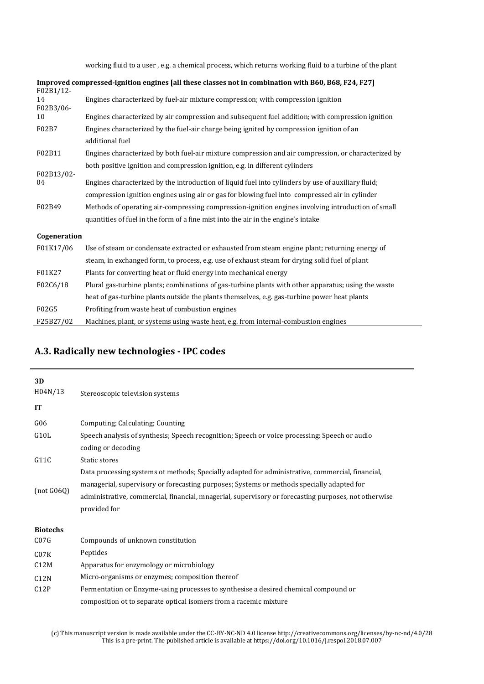working fluid to a user , e.g. a chemical process, which returns working fluid to a turbine of the plant

|                              | Improved compressed-ignition engines [all these classes not in combination with B60, B68, F24, F27] |
|------------------------------|-----------------------------------------------------------------------------------------------------|
| F02B1/12-<br>14<br>F02B3/06- | Engines characterized by fuel-air mixture compression; with compression ignition                    |
| 10                           | Engines characterized by air compression and subsequent fuel addition; with compression ignition    |
| F02B7                        | Engines characterized by the fuel-air charge being ignited by compression ignition of an            |
|                              | additional fuel                                                                                     |
| F02B11                       | Engines characterized by both fuel-air mixture compression and air compression, or characterized by |
|                              | both positive ignition and compression ignition, e.g. in different cylinders                        |
| F02B13/02-                   |                                                                                                     |
| 04                           | Engines characterized by the introduction of liquid fuel into cylinders by use of auxiliary fluid;  |
|                              | compression ignition engines using air or gas for blowing fuel into compressed air in cylinder      |
| F02B49                       | Methods of operating air-compressing compression-ignition engines involving introduction of small   |
|                              | quantities of fuel in the form of a fine mist into the air in the engine's intake                   |
| Cogeneration                 |                                                                                                     |
| F01K17/06                    | Use of steam or condensate extracted or exhausted from steam engine plant; returning energy of      |
|                              | steam, in exchanged form, to process, e.g. use of exhaust steam for drying solid fuel of plant      |
| F01K27                       | Plants for converting heat or fluid energy into mechanical energy                                   |
| F02C6/18                     | Plural gas-turbine plants; combinations of gas-turbine plants with other apparatus; using the waste |
|                              | heat of gas-turbine plants outside the plants themselves, e.g. gas-turbine power heat plants        |
| F02G5                        | Profiting from waste heat of combustion engines                                                     |
| F25B27/02                    | Machines, plant, or systems using waste heat, e.g. from internal-combustion engines                 |

#### **A.3. Radically new technologies - IPC codes**

| 3D<br>H04N/13<br><b>IT</b> | Stereoscopic television systems                                                                                                                                                                                                                                                                                       |  |  |  |  |  |
|----------------------------|-----------------------------------------------------------------------------------------------------------------------------------------------------------------------------------------------------------------------------------------------------------------------------------------------------------------------|--|--|--|--|--|
| G06                        | Computing; Calculating; Counting                                                                                                                                                                                                                                                                                      |  |  |  |  |  |
| G10L                       | Speech analysis of synthesis; Speech recognition; Speech or voice processing; Speech or audio<br>coding or decoding                                                                                                                                                                                                   |  |  |  |  |  |
| G11C                       | Static stores                                                                                                                                                                                                                                                                                                         |  |  |  |  |  |
| (not G06Q)                 | Data processing systems ot methods; Specially adapted for administrative, commercial, financial,<br>managerial, supervisory or forecasting purposes; Systems or methods specially adapted for<br>administrative, commercial, financial, mnagerial, supervisory or forecasting purposes, not otherwise<br>provided for |  |  |  |  |  |
| <b>Biotechs</b>            |                                                                                                                                                                                                                                                                                                                       |  |  |  |  |  |
| CO7G                       | Compounds of unknown constitution                                                                                                                                                                                                                                                                                     |  |  |  |  |  |
| C07K                       | Peptides                                                                                                                                                                                                                                                                                                              |  |  |  |  |  |
| C12M                       | Apparatus for enzymology or microbiology                                                                                                                                                                                                                                                                              |  |  |  |  |  |
| C12N                       | Micro-organisms or enzymes; composition thereof                                                                                                                                                                                                                                                                       |  |  |  |  |  |
| C12P                       | Fermentation or Enzyme-using processes to synthesise a desired chemical compound or                                                                                                                                                                                                                                   |  |  |  |  |  |
|                            | composition ot to separate optical isomers from a racemic mixture                                                                                                                                                                                                                                                     |  |  |  |  |  |

(c) This manuscript version is made available under the CC-BY-NC-ND 4.0 license http://creativecommons.org/licenses/by-nc-nd/4.0/28 This is a pre-print. The published article is available at https://doi.org/10.1016/j.respol.2018.07.007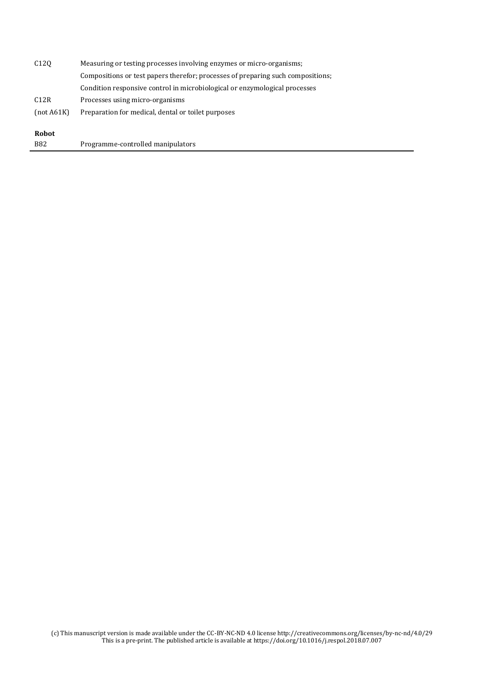| <b>Robot</b>     |                                                                                 |  |  |  |  |  |  |
|------------------|---------------------------------------------------------------------------------|--|--|--|--|--|--|
| [not A61K]       | Preparation for medical, dental or toilet purposes                              |  |  |  |  |  |  |
| C12R             | Processes using micro-organisms                                                 |  |  |  |  |  |  |
|                  | Condition responsive control in microbiological or enzymological processes      |  |  |  |  |  |  |
|                  | Compositions or test papers therefor; processes of preparing such compositions; |  |  |  |  |  |  |
| C <sub>120</sub> | Measuring or testing processes involving enzymes or micro-organisms;            |  |  |  |  |  |  |

B82 Programme-controlled manipulators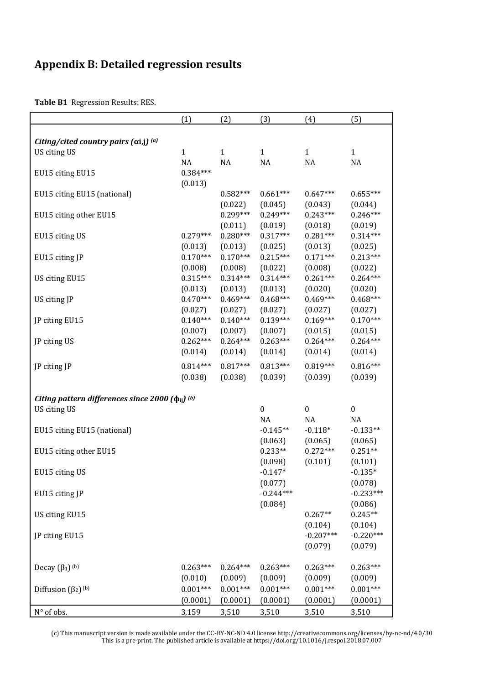## **Appendix B: Detailed regression results**

**Table B1** Regression Results: RES.

|                                                         | (1)                         | (2)                    | (3)                    | (4)                    | (5)                    |  |  |  |  |  |
|---------------------------------------------------------|-----------------------------|------------------------|------------------------|------------------------|------------------------|--|--|--|--|--|
| Citing/cited country pairs $(\alpha i,j)^{(a)}$         |                             |                        |                        |                        |                        |  |  |  |  |  |
| US citing US                                            | $\mathbf{1}$                | $\mathbf{1}$           | $\mathbf{1}$           | $\mathbf{1}$           | $\mathbf{1}$           |  |  |  |  |  |
| EU15 citing EU15                                        | NA<br>$0.384***$<br>(0.013) | NA                     | <b>NA</b>              | NA                     | NA                     |  |  |  |  |  |
| EU15 citing EU15 (national)                             |                             | $0.582***$<br>(0.022)  | $0.661***$<br>(0.045)  | $0.647***$<br>(0.043)  | $0.655***$<br>(0.044)  |  |  |  |  |  |
| EU15 citing other EU15                                  |                             | $0.299***$<br>(0.011)  | $0.249***$<br>(0.019)  | $0.243***$<br>(0.018)  | $0.246***$<br>(0.019)  |  |  |  |  |  |
| EU15 citing US                                          | $0.279***$<br>(0.013)       | $0.280***$<br>(0.013)  | $0.317***$<br>(0.025)  | $0.281***$<br>(0.013)  | $0.314***$<br>(0.025)  |  |  |  |  |  |
| EU15 citing JP                                          | $0.170***$<br>(0.008)       | $0.170***$<br>(0.008)  | $0.215***$<br>(0.022)  | $0.171***$<br>(0.008)  | $0.213***$<br>(0.022)  |  |  |  |  |  |
| US citing EU15                                          | $0.315***$<br>(0.013)       | $0.314***$<br>(0.013)  | $0.314***$<br>(0.013)  | $0.261***$<br>(0.020)  | $0.264***$<br>(0.020)  |  |  |  |  |  |
| US citing JP                                            | $0.470***$<br>(0.027)       | $0.469***$<br>(0.027)  | $0.468***$<br>(0.027)  | $0.469***$<br>(0.027)  | $0.468***$<br>(0.027)  |  |  |  |  |  |
| JP citing EU15                                          | $0.140***$<br>(0.007)       | $0.140***$<br>(0.007)  | $0.139***$<br>(0.007)  | $0.169***$<br>(0.015)  | $0.170***$<br>(0.015)  |  |  |  |  |  |
| JP citing US                                            | $0.262***$<br>(0.014)       | $0.264***$<br>(0.014)  | $0.263***$<br>(0.014)  | $0.264***$<br>(0.014)  | $0.264***$<br>(0.014)  |  |  |  |  |  |
| JP citing JP                                            | $0.814***$<br>(0.038)       | $0.817***$<br>(0.038)  | $0.813***$<br>(0.039)  | $0.819***$<br>(0.039)  | $0.816***$<br>(0.039)  |  |  |  |  |  |
| Citing pattern differences since 2000 $(\phi_{ij})$ (b) |                             |                        |                        |                        |                        |  |  |  |  |  |
| US citing US                                            |                             |                        | $\mathbf{0}$<br>NA     | $\boldsymbol{0}$<br>NA | $\boldsymbol{0}$<br>NA |  |  |  |  |  |
| EU15 citing EU15 (national)                             |                             |                        | $-0.145**$<br>(0.063)  | $-0.118*$<br>(0.065)   | $-0.133**$<br>(0.065)  |  |  |  |  |  |
| EU15 citing other EU15                                  |                             |                        | $0.233**$<br>(0.098)   | $0.272***$<br>(0.101)  | $0.251**$<br>(0.101)   |  |  |  |  |  |
| EU15 citing US                                          |                             |                        | $-0.147*$<br>(0.077)   |                        | $-0.135*$<br>(0.078)   |  |  |  |  |  |
| EU15 citing JP                                          |                             |                        | $-0.244***$<br>(0.084) |                        | $-0.233***$<br>(0.086) |  |  |  |  |  |
| US citing EU15                                          |                             |                        |                        | $0.267**$<br>(0.104)   | $0.245**$<br>(0.104)   |  |  |  |  |  |
| JP citing EU15                                          |                             |                        |                        | $-0.207***$<br>(0.079) | $-0.220***$<br>(0.079) |  |  |  |  |  |
| Decay $(\beta_1)^{(b)}$                                 | $0.263***$<br>(0.010)       | $0.264***$<br>(0.009)  | $0.263***$<br>(0.009)  | $0.263***$<br>(0.009)  | $0.263***$<br>(0.009)  |  |  |  |  |  |
| Diffusion $(\beta_2)$ <sup>(b)</sup>                    | $0.001***$<br>(0.0001)      | $0.001***$<br>(0.0001) | $0.001***$<br>(0.0001) | $0.001***$<br>(0.0001) | $0.001***$<br>(0.0001) |  |  |  |  |  |
| $N^{\circ}$ of obs.                                     | 3,159                       | 3,510                  | 3,510                  | 3,510                  | 3,510                  |  |  |  |  |  |

(c) This manuscript version is made available under the CC-BY-NC-ND 4.0 license http://creativecommons.org/licenses/by-nc-nd/4.0/30 This is a pre-print. The published article is available at https://doi.org/10.1016/j.respol.2018.07.007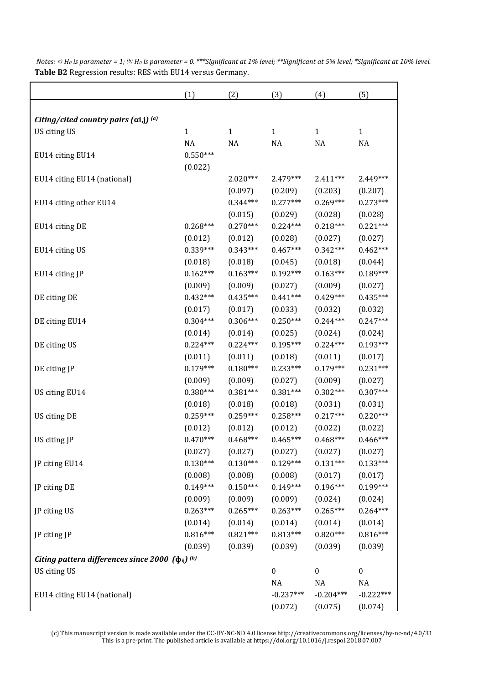|                                                           | (1)          | (2)          | (3)              | (4)              | (5)              |
|-----------------------------------------------------------|--------------|--------------|------------------|------------------|------------------|
|                                                           |              |              |                  |                  |                  |
| Citing/cited country pairs $(\alpha i,j)^{(a)}$           |              |              |                  |                  |                  |
| US citing US                                              | $\mathbf{1}$ | $\mathbf{1}$ | $\mathbf{1}$     | $\mathbf{1}$     | $\mathbf{1}$     |
|                                                           | NA           | NA           | NA               | NA               | NA               |
| EU14 citing EU14                                          | $0.550***$   |              |                  |                  |                  |
|                                                           | (0.022)      |              |                  |                  |                  |
| EU14 citing EU14 (national)                               |              | $2.020***$   | 2.479***         | $2.411***$       | 2.449***         |
|                                                           |              | (0.097)      | (0.209)          | (0.203)          | (0.207)          |
| EU14 citing other EU14                                    |              | $0.344***$   | $0.277***$       | $0.269***$       | $0.273***$       |
|                                                           |              | (0.015)      | (0.029)          | (0.028)          | (0.028)          |
| EU14 citing DE                                            | $0.268***$   | $0.270***$   | $0.224***$       | $0.218***$       | $0.221***$       |
|                                                           | (0.012)      | (0.012)      | (0.028)          | (0.027)          | (0.027)          |
| EU14 citing US                                            | $0.339***$   | $0.343***$   | $0.467***$       | $0.342***$       | $0.462***$       |
|                                                           | (0.018)      | (0.018)      | (0.045)          | (0.018)          | (0.044)          |
| EU14 citing JP                                            | $0.162***$   | $0.163***$   | $0.192***$       | $0.163***$       | $0.189***$       |
|                                                           | (0.009)      | (0.009)      | (0.027)          | (0.009)          | (0.027)          |
| DE citing DE                                              | $0.432***$   | $0.435***$   | $0.441***$       | $0.429***$       | $0.435***$       |
|                                                           | (0.017)      | (0.017)      | (0.033)          | (0.032)          | (0.032)          |
| DE citing EU14                                            | $0.304***$   | $0.306***$   | $0.250***$       | $0.244***$       | $0.247***$       |
|                                                           | (0.014)      | (0.014)      | (0.025)          | (0.024)          | (0.024)          |
| DE citing US                                              | $0.224***$   | $0.224***$   | $0.195***$       | $0.224***$       | $0.193***$       |
|                                                           | (0.011)      | (0.011)      | (0.018)          | (0.011)          | (0.017)          |
| DE citing JP                                              | $0.179***$   | $0.180***$   | $0.233***$       | $0.179***$       | $0.231***$       |
|                                                           | (0.009)      | (0.009)      | (0.027)          | (0.009)          | (0.027)          |
| US citing EU14                                            | $0.380***$   | $0.381***$   | $0.381***$       | $0.302***$       | $0.307***$       |
|                                                           | (0.018)      | (0.018)      | (0.018)          | (0.031)          | (0.031)          |
| US citing DE                                              | $0.259***$   | $0.259***$   | $0.258***$       | $0.217***$       | $0.220***$       |
|                                                           | (0.012)      | (0.012)      | (0.012)          | (0.022)          | (0.022)          |
| US citing JP                                              | $0.470***$   | $0.468***$   | $0.465***$       | $0.468***$       | $0.466***$       |
|                                                           | (0.027)      | (0.027)      | (0.027)          | (0.027)          | (0.027)          |
| JP citing EU14                                            | $0.130***$   | $0.130***$   | $0.129***$       | $0.131***$       | $0.133***$       |
|                                                           | (0.008)      | (0.008)      | (0.008)          | (0.017)          | (0.017)          |
| JP citing DE                                              | $0.149***$   | $0.150***$   | $0.149***$       | $0.196***$       | $0.199***$       |
|                                                           | (0.009)      | (0.009)      | (0.009)          | (0.024)          | (0.024)          |
| JP citing US                                              | $0.263***$   | $0.265***$   | $0.263***$       | $0.265***$       | $0.264***$       |
|                                                           | (0.014)      | (0.014)      | (0.014)          | (0.014)          | (0.014)          |
| JP citing JP                                              | $0.816***$   | $0.821***$   | $0.813***$       | $0.820***$       | $0.816***$       |
|                                                           | (0.039)      | (0.039)      | (0.039)          | (0.039)          | (0.039)          |
| Citing pattern differences since 2000 $(\phi_{ij})^{(b)}$ |              |              |                  |                  |                  |
| US citing US                                              |              |              | $\boldsymbol{0}$ | $\boldsymbol{0}$ | $\boldsymbol{0}$ |
|                                                           |              |              | NA               | NA               | NA               |
| EU14 citing EU14 (national)                               |              |              | $-0.237***$      | $-0.204***$      | $-0.222***$      |
|                                                           |              |              | (0.072)          | (0.075)          | (0.074)          |

*Notes: a) H0 is parameter = 1; (b) H0 is parameter = 0. \*\*\*Significant at 1% level; \*\*Significant at 5% level; \*Significant at 10% level.*  **Table B2** Regression results: RES with EU14 versus Germany.

(c) This manuscript version is made available under the CC-BY-NC-ND 4.0 license http://creativecommons.org/licenses/by-nc-nd/4.0/31 This is a pre-print. The published article is available at https://doi.org/10.1016/j.respol.2018.07.007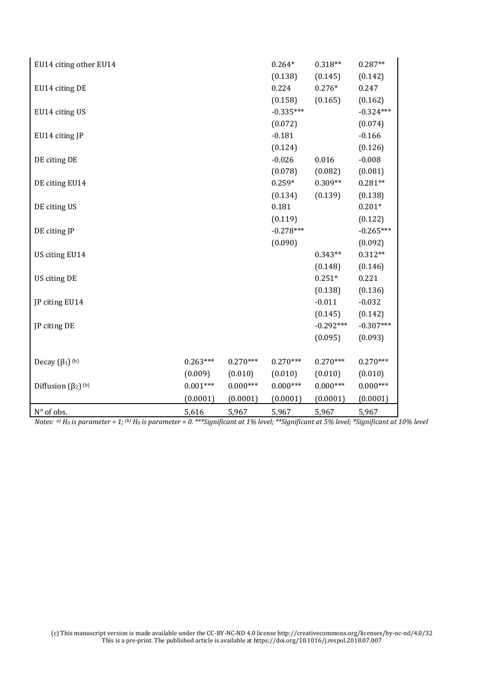| EU14 citing other EU14               |            |            | $0.264*$    | $0.318**$   | $0.287**$   |
|--------------------------------------|------------|------------|-------------|-------------|-------------|
|                                      |            |            | (0.138)     | (0.145)     | (0.142)     |
| EU14 citing DE                       |            |            | 0.224       | $0.276*$    | 0.247       |
|                                      |            |            | (0.158)     | (0.165)     | (0.162)     |
| EU14 citing US                       |            |            | $-0.335***$ |             | $-0.324***$ |
|                                      |            |            | (0.072)     |             | (0.074)     |
| EU14 citing JP                       |            |            | $-0.181$    |             | $-0.166$    |
|                                      |            |            | (0.124)     |             | (0.126)     |
| DE citing DE                         |            |            | $-0.026$    | 0.016       | $-0.008$    |
|                                      |            |            | (0.078)     | (0.082)     | (0.081)     |
| DE citing EU14                       |            |            | $0.259*$    | $0.309**$   | $0.281**$   |
|                                      |            |            | (0.134)     | (0.139)     | (0.138)     |
| DE citing US                         |            |            | 0.181       |             | $0.201*$    |
|                                      |            |            | (0.119)     |             | (0.122)     |
| DE citing JP                         |            |            | $-0.278***$ |             | $-0.265***$ |
|                                      |            |            | (0.090)     |             | (0.092)     |
| US citing EU14                       |            |            |             | $0.343**$   | $0.312**$   |
|                                      |            |            |             | (0.148)     | (0.146)     |
| US citing DE                         |            |            |             | $0.251*$    | 0.221       |
|                                      |            |            |             | (0.138)     | (0.136)     |
| JP citing EU14                       |            |            |             | $-0.011$    | $-0.032$    |
|                                      |            |            |             | (0.145)     | (0.142)     |
| JP citing DE                         |            |            |             | $-0.292***$ | $-0.307***$ |
|                                      |            |            |             | (0.095)     | (0.093)     |
|                                      |            |            |             |             |             |
| Decay $(\beta_1)$ <sup>(b)</sup>     | $0.263***$ | $0.270***$ | $0.270***$  | $0.270***$  | $0.270***$  |
|                                      | (0.009)    | (0.010)    | (0.010)     | (0.010)     | (0.010)     |
| Diffusion $(\beta_2)$ <sup>(b)</sup> | $0.001***$ | $0.000***$ | $0.000***$  | $0.000***$  | $0.000***$  |
|                                      | (0.0001)   | (0.0001)   | (0.0001)    | (0.0001)    | (0.0001)    |
| N° of obs.                           | 5,616      | 5,967      | 5,967       | 5,967       | 5,967       |

*Notes: a) H0 is parameter = 1; (b) H0 is parameter = 0. \*\*\*Significant at 1% level; \*\*Significant at 5% level; \*Significant at 10% level*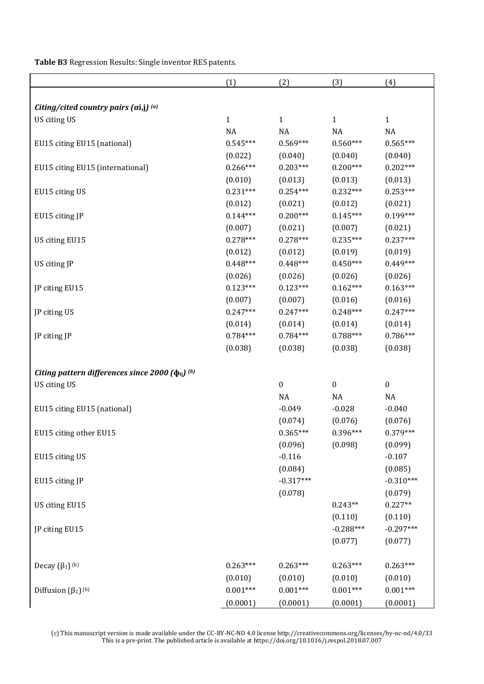**Table B3** Regression Results: Single inventor RES patents.

|                                                                    | (1)          | (2)                   | (3)                   | (4)                   |
|--------------------------------------------------------------------|--------------|-----------------------|-----------------------|-----------------------|
|                                                                    |              |                       |                       |                       |
| Citing/cited country pairs $(\alpha i,j)^{(a)}$                    |              |                       |                       |                       |
| US citing US                                                       | $\mathbf{1}$ | $\mathbf{1}$          | $\mathbf{1}$          | $\mathbf{1}$          |
|                                                                    | NA           | NA                    | NA                    | <b>NA</b>             |
| EU15 citing EU15 (national)                                        | $0.545***$   | $0.569***$            | $0.560***$            | $0.565***$            |
|                                                                    | (0.022)      | (0.040)               | (0.040)               | (0.040)               |
| EU15 citing EU15 (international)                                   | $0.266***$   | $0.203***$            | $0.200***$            | $0.202***$            |
|                                                                    | (0.010)      | (0.013)               | (0.013)               | (0.013)               |
| EU15 citing US                                                     | $0.231***$   | $0.254***$            | $0.232***$            | $0.253***$            |
|                                                                    | (0.012)      | (0.021)               | (0.012)               | (0.021)               |
| EU15 citing JP                                                     | $0.144***$   | $0.200***$            | $0.145***$            | $0.199***$            |
|                                                                    | (0.007)      | (0.021)               | (0.007)               | (0.021)               |
| US citing EU15                                                     | $0.278***$   | $0.278***$            | $0.235***$            | $0.237***$            |
|                                                                    | (0.012)      | (0.012)               | (0.019)               | (0.019)               |
| US citing JP                                                       | $0.448***$   | $0.448***$            | $0.450***$            | $0.449***$            |
|                                                                    | (0.026)      | (0.026)               | (0.026)               | (0.026)               |
| JP citing EU15                                                     | $0.123***$   | $0.123***$            | $0.162***$            | $0.163***$            |
|                                                                    | (0.007)      | (0.007)               | (0.016)               | (0.016)               |
| JP citing US                                                       | $0.247***$   | $0.247***$            | $0.248***$            | $0.247***$            |
|                                                                    | (0.014)      | (0.014)               | (0.014)               | (0.014)               |
| JP citing JP                                                       | $0.784***$   | $0.784***$            | $0.788***$            | $0.786***$            |
|                                                                    | (0.038)      | (0.038)               | (0.038)               | (0.038)               |
| Citing pattern differences since 2000 ( $\phi$ <sub>ii</sub> ) (b) |              |                       |                       |                       |
| US citing US                                                       |              | $\boldsymbol{0}$      | $\boldsymbol{0}$      | $\boldsymbol{0}$      |
|                                                                    |              | NA                    | <b>NA</b>             | $\rm NA$              |
|                                                                    |              | $-0.049$              | $-0.028$              | $-0.040$              |
| EU15 citing EU15 (national)                                        |              |                       |                       |                       |
|                                                                    |              | (0.074)<br>$0.365***$ | (0.076)<br>$0.396***$ | (0.076)<br>$0.379***$ |
| EU15 citing other EU15                                             |              |                       |                       |                       |
|                                                                    |              | (0.096)               | (0.098)               | (0.099)<br>$-0.107$   |
| EU15 citing US                                                     |              | $-0.116$              |                       |                       |
|                                                                    |              | (0.084)               |                       | (0.085)               |
| EU15 citing JP                                                     |              | $-0.317***$           |                       | $-0.310***$           |
|                                                                    |              | (0.078)               |                       | (0.079)               |
| US citing EU15                                                     |              |                       | $0.243**$             | $0.227**$             |
|                                                                    |              |                       | (0.110)               | (0.110)               |
| JP citing EU15                                                     |              |                       | $-0.288***$           | $-0.297***$           |
|                                                                    |              |                       | (0.077)               | (0.077)               |
| Decay $(\beta_1)$ <sup>(b)</sup>                                   | $0.263***$   | $0.263***$            | $0.263***$            | $0.263***$            |
|                                                                    | (0.010)      | (0.010)               | (0.010)               | (0.010)               |
| Diffusion $(\beta_2)$ <sup>(b)</sup>                               | $0.001***$   | $0.001***$            | $0.001***$            | $0.001***$            |
|                                                                    | (0.0001)     | (0.0001)              | (0.0001)              | (0.0001)              |
|                                                                    |              |                       |                       |                       |

(c) This manuscript version is made available under the CC-BY-NC-ND 4.0 license http://creativecommons.org/licenses/by-nc-nd/4.0/33 This is a pre-print. The published article is available at https://doi.org/10.1016/j.respol.2018.07.007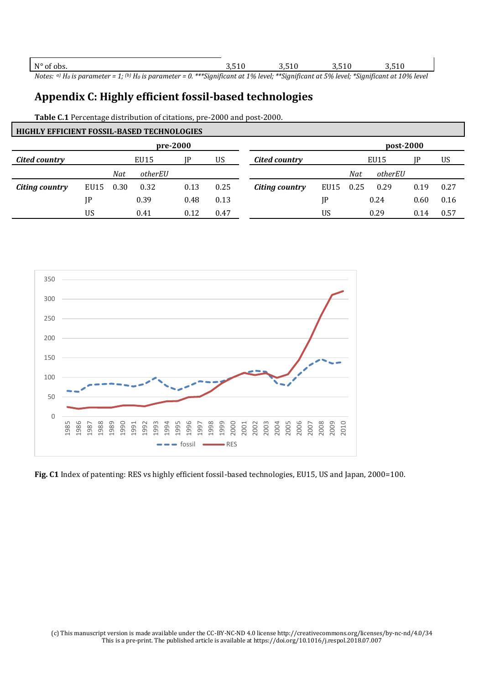$N^{\circ}$  of obs.  $3,510$   $3,510$   $3,510$   $3,510$   $3,510$ 

*Notes: a) H0 is parameter = 1; (b) H0 is parameter = 0. \*\*\*Significant at 1% level; \*\*Significant at 5% level; \*Significant at 10% level*

### **Appendix C: Highly efficient fossil-based technologies**

**Table C.1** Percentage distribution of citations, pre-2000 and post-2000.

| <b>HIGHLY EFFICIENT FOSSIL-BASED TECHNOLOGIES</b> |           |      |         |      |      |                       |           |     |         |      |      |
|---------------------------------------------------|-----------|------|---------|------|------|-----------------------|-----------|-----|---------|------|------|
|                                                   | post-2000 |      |         |      |      |                       |           |     |         |      |      |
| Cited country                                     |           |      | EU15    | IP   | US   | EU15<br>Cited country |           |     |         |      | US   |
|                                                   |           | Nat  | otherEU |      |      |                       |           | Nat | otherEU |      |      |
| Citing country                                    | EU15      | 0.30 | 0.32    | 0.13 | 0.25 | Citing country        | EU15 0.25 |     | 0.29    | 0.19 | 0.27 |
|                                                   | JP        |      | 0.39    | 0.48 | 0.13 |                       | JP        |     | 0.24    | 0.60 | 0.16 |
|                                                   | US        |      | 0.41    | 0.12 | 0.47 |                       | US        |     | 0.29    | 0.14 | 0.57 |



**Fig. C1** Index of patenting: RES vs highly efficient fossil-based technologies, EU15, US and Japan, 2000=100.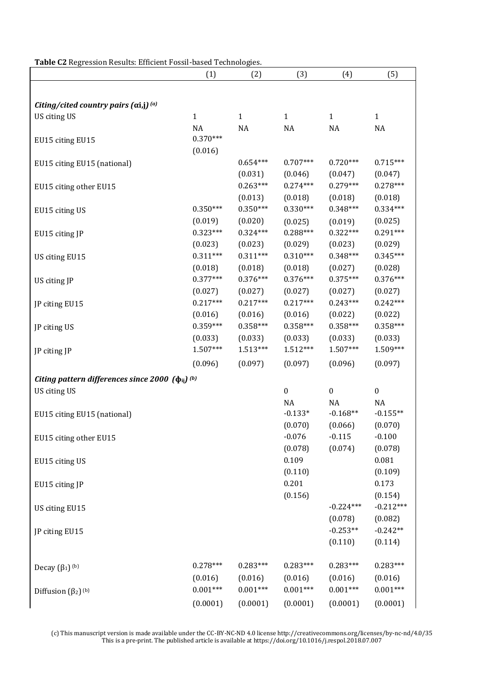| Table C2 Regression Results: Efficient Fossil-based Technologies. |  |
|-------------------------------------------------------------------|--|
|-------------------------------------------------------------------|--|

|                                                           | (1)                   | (2)                   | (3)                   | (4)                   | (5)                    |
|-----------------------------------------------------------|-----------------------|-----------------------|-----------------------|-----------------------|------------------------|
|                                                           |                       |                       |                       |                       |                        |
| Citing/cited country pairs $(\alpha i,j)^{(a)}$           |                       |                       |                       |                       |                        |
| US citing US                                              | $\mathbf{1}$          | $\mathbf{1}$          | $\mathbf{1}$          | $\mathbf{1}$          | $\mathbf{1}$           |
|                                                           | <b>NA</b>             | NA                    | NA                    | NA                    | <b>NA</b>              |
| EU15 citing EU15                                          | $0.370***$            |                       |                       |                       |                        |
|                                                           | (0.016)               |                       |                       |                       |                        |
| EU15 citing EU15 (national)                               |                       | $0.654***$            | $0.707***$            | $0.720***$            | $0.715***$             |
|                                                           |                       | (0.031)               | (0.046)               | (0.047)               | (0.047)                |
| EU15 citing other EU15                                    |                       | $0.263***$            | $0.274***$            | $0.279***$            | $0.278***$             |
|                                                           |                       | (0.013)               | (0.018)               | (0.018)               | (0.018)                |
| EU15 citing US                                            | $0.350***$            | $0.350***$            | $0.330***$            | $0.348***$            | $0.334***$             |
|                                                           | (0.019)               | (0.020)               | (0.025)               | (0.019)               | (0.025)                |
| EU15 citing JP                                            | $0.323***$            | $0.324***$            | $0.288***$            | $0.322***$            | $0.291***$             |
|                                                           | (0.023)               | (0.023)               | (0.029)               | (0.023)               | (0.029)                |
| US citing EU15                                            | $0.311***$            | $0.311***$            | $0.310***$            | $0.348***$            | $0.345***$             |
|                                                           | (0.018)               | (0.018)               | (0.018)               | (0.027)               | (0.028)                |
| US citing JP                                              | $0.377***$            | $0.376***$            | $0.376***$            | $0.375***$            | $0.376***$             |
|                                                           | (0.027)               | (0.027)               | (0.027)               | (0.027)               | (0.027)                |
| JP citing EU15                                            | $0.217***$            | $0.217***$            | $0.217***$            | $0.243***$            | $0.242***$             |
|                                                           | (0.016)               | (0.016)               | (0.016)               | (0.022)               | (0.022)                |
| JP citing US                                              | $0.359***$            | $0.358***$            | $0.358***$            | $0.358***$            | $0.358***$             |
|                                                           | (0.033)<br>$1.507***$ | (0.033)<br>$1.513***$ | (0.033)<br>$1.512***$ | (0.033)<br>$1.507***$ | (0.033)                |
| JP citing JP                                              |                       |                       |                       |                       | 1.509***               |
|                                                           | (0.096)               | (0.097)               | (0.097)               | (0.096)               | (0.097)                |
| Citing pattern differences since 2000 $(\phi_{ij})^{(b)}$ |                       |                       |                       |                       |                        |
| US citing US                                              |                       |                       | $\boldsymbol{0}$      | $\boldsymbol{0}$      | $\boldsymbol{0}$       |
|                                                           |                       |                       | <b>NA</b>             | <b>NA</b>             | <b>NA</b>              |
| EU15 citing EU15 (national)                               |                       |                       | $-0.133*$             | $-0.168**$            | $-0.155**$             |
|                                                           |                       |                       | (0.070)               | (0.066)               | (0.070)                |
| EU15 citing other EU15                                    |                       |                       | $-0.076$              | $-0.115$              | $-0.100$               |
|                                                           |                       |                       | (0.078)               | (0.074)               | (0.078)                |
| EU15 citing US                                            |                       |                       | 0.109                 |                       | 0.081                  |
|                                                           |                       |                       | (0.110)<br>0.201      |                       | (0.109)                |
| EU15 citing JP                                            |                       |                       |                       |                       | 0.173                  |
|                                                           |                       |                       | (0.156)               | $-0.224***$           | (0.154)<br>$-0.212***$ |
| US citing EU15                                            |                       |                       |                       | (0.078)               | (0.082)                |
|                                                           |                       |                       |                       | $-0.253**$            | $-0.242**$             |
| JP citing EU15                                            |                       |                       |                       | (0.110)               | (0.114)                |
|                                                           |                       |                       |                       |                       |                        |
| Decay $(\beta_1)$ <sup>(b)</sup>                          | $0.278***$            | $0.283***$            | $0.283***$            | $0.283***$            | $0.283***$             |
|                                                           | (0.016)               | (0.016)               | (0.016)               | (0.016)               | (0.016)                |
| Diffusion $(\beta_2)$ <sup>(b)</sup>                      | $0.001***$            | $0.001***$            | $0.001***$            | $0.001***$            | $0.001***$             |
|                                                           | (0.0001)              | (0.0001)              | (0.0001)              | (0.0001)              | (0.0001)               |

(c) This manuscript version is made available under the CC-BY-NC-ND 4.0 license http://creativecommons.org/licenses/by-nc-nd/4.0/35 This is a pre-print. The published article is available at https://doi.org/10.1016/j.respol.2018.07.007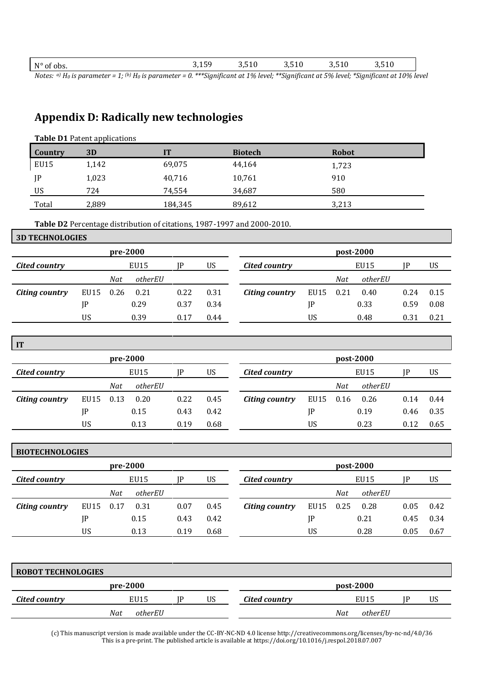| $N^{\circ}$<br>of obs.<br>1 V | $\sim$<br>אי<br>. ن⊥ر ب | 3,510<br>. . | 3,510<br>. . | 3,510<br>- - | 3,510<br>. . |  |
|-------------------------------|-------------------------|--------------|--------------|--------------|--------------|--|
|                               |                         |              |              |              |              |  |

*Notes: a) H0 is parameter = 1; (b) H0 is parameter = 0. \*\*\*Significant at 1% level; \*\*Significant at 5% level; \*Significant at 10% level*

## **Appendix D: Radically new technologies**

| <b>Table D1</b> Patent applications |       |         |                |              |  |  |  |  |  |  |
|-------------------------------------|-------|---------|----------------|--------------|--|--|--|--|--|--|
| Country                             | 3D    | IT      | <b>Biotech</b> | <b>Robot</b> |  |  |  |  |  |  |
| EU15                                | 1,142 | 69,075  | 44,164         | 1,723        |  |  |  |  |  |  |
| JP                                  | 1,023 | 40,716  | 10,761         | 910          |  |  |  |  |  |  |
| US                                  | 724   | 74,554  | 34,687         | 580          |  |  |  |  |  |  |
| Total                               | 2,889 | 184,345 | 89,612         | 3,213        |  |  |  |  |  |  |

**Table D2** Percentage distribution of citations, 1987-1997 and 2000-2010.

#### **3D TECHNOLOGIES**

**IT** 

| pre-2000       |      |      |         |      | post-2000 |                |           |     |         |      |      |
|----------------|------|------|---------|------|-----------|----------------|-----------|-----|---------|------|------|
| Cited country  |      |      | EU15    |      | US        | Cited country  |           |     | EU15    |      | US   |
|                |      | Nat  | otherEU |      |           |                |           | Nat | otherEU |      |      |
| Citing country | EU15 | 0.26 | 0.21    | 0.22 | 0.31      | Citing country | EU15 0.21 |     | 0.40    | 0.24 | 0.15 |
|                | JP   |      | 0.29    | 0.37 | 0.34      |                | IP        |     | 0.33    | 0.59 | 0.08 |
|                | US   |      | 0.39    | 0.17 | 0.44      |                | US        |     | 0.48    | 0.31 | 0.21 |

| 11             |           |     |         |      |      |                |           |     |         |      |      |  |  |
|----------------|-----------|-----|---------|------|------|----------------|-----------|-----|---------|------|------|--|--|
|                | pre-2000  |     |         |      |      |                | post-2000 |     |         |      |      |  |  |
| Cited country  |           |     | EU15    | IP   | US   | Cited country  |           |     | EU15    |      | US   |  |  |
|                |           | Nat | otherEU |      |      |                |           | Nat | otherEU |      |      |  |  |
| Citing country | EU15 0.13 |     | 0.20    | 0.22 | 0.45 | Citing country | EU15 0.16 |     | 0.26    | 0.14 | 0.44 |  |  |
|                | JP        |     | 0.15    | 0.43 | 0.42 |                | IP        |     | 0.19    | 0.46 | 0.35 |  |  |
|                | US        |     | 0.13    | 0.19 | 0.68 |                | <b>US</b> |     | 0.23    | 0.12 | 0.65 |  |  |

| <b>BIOTECHNOLOGIES</b> |      |          |         |      |      |                |           |           |         |      |      |
|------------------------|------|----------|---------|------|------|----------------|-----------|-----------|---------|------|------|
|                        |      | pre-2000 |         |      |      |                |           | post-2000 |         |      |      |
| Cited country          |      |          | EU15    | IP   | US.  | Cited country  |           |           | EU15    |      | US   |
|                        |      | Nat      | otherEU |      |      |                |           | Nat       | otherEU |      |      |
| Citing country         | EU15 | 0.17     | 0.31    | 0.07 | 0.45 | Citing country | EU15 0.25 |           | 0.28    | 0.05 | 0.42 |
|                        | JP   |          | 0.15    | 0.43 | 0.42 |                | IP        |           | 0.21    | 0.45 | 0.34 |
|                        | US   |          | 0.13    | 0.19 | 0.68 |                | US        |           | 0.28    | 0.05 | 0.67 |

| <b>ROBOT TECHNOLOGIES</b> |                |    |    |               |     |           |    |
|---------------------------|----------------|----|----|---------------|-----|-----------|----|
|                           | pre-2000       |    |    |               |     | post-2000 |    |
| Cited country             | EU15           | ١P | US | Cited country |     | EU15      | US |
|                           | otherEU<br>Nat |    |    |               | Nat | otherEU   |    |

(c) This manuscript version is made available under the CC-BY-NC-ND 4.0 license http://creativecommons.org/licenses/by-nc-nd/4.0/36 This is a pre-print. The published article is available at https://doi.org/10.1016/j.respol.2018.07.007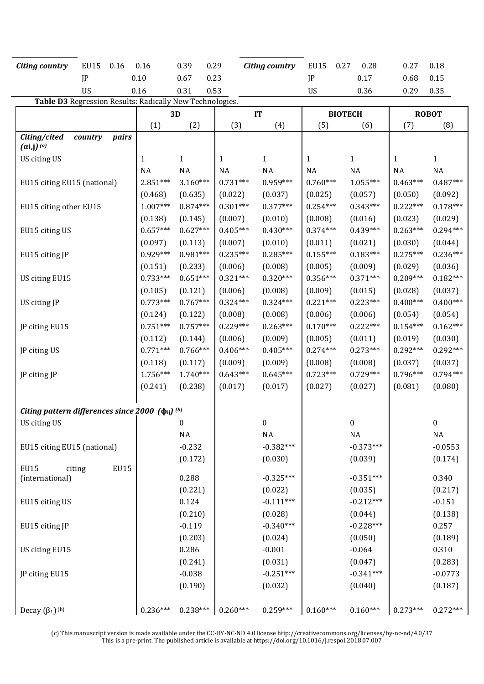| <b>EU15</b><br>0.16<br><b>Citing country</b>              | 0.16                                                     | 0.39                  | 0.29                  | <b>Citing country</b> | <b>EU15</b><br>0.27   | 0.28                  | 0.27                  | 0.18                  |  |  |  |  |
|-----------------------------------------------------------|----------------------------------------------------------|-----------------------|-----------------------|-----------------------|-----------------------|-----------------------|-----------------------|-----------------------|--|--|--|--|
| JP                                                        | 0.10                                                     | 0.23<br>0.67          |                       |                       | JP                    | 0.17                  | 0.68                  | 0.15                  |  |  |  |  |
| US                                                        | 0.16                                                     | 0.53<br>0.31          |                       |                       | US                    | 0.36                  | 0.29                  | 0.35                  |  |  |  |  |
|                                                           | Table D3 Regression Results: Radically New Technologies. |                       |                       |                       |                       |                       |                       |                       |  |  |  |  |
|                                                           |                                                          | 3D                    |                       | IT                    |                       | <b>BIOTECH</b>        | <b>ROBOT</b>          |                       |  |  |  |  |
|                                                           | (1)                                                      | (2)                   | (3)                   | (4)                   | (5)                   | (6)                   | (7)                   | (8)                   |  |  |  |  |
| Citing/cited<br>country<br>pairs<br>$(\alpha i,j)^{(a)}$  |                                                          |                       |                       |                       |                       |                       |                       |                       |  |  |  |  |
| US citing US                                              | $\mathbf{1}$                                             | $\mathbf{1}$          | 1                     | $\mathbf{1}$          | 1                     | $\mathbf{1}$          | $\mathbf{1}$          | $\mathbf{1}$          |  |  |  |  |
|                                                           | NA                                                       | <b>NA</b>             | NA                    | <b>NA</b>             | NA                    | <b>NA</b>             | NA                    | NA                    |  |  |  |  |
| EU15 citing EU15 (national)                               | $2.851***$                                               | $3.160***$            | $0.731***$            | 0.959***              | $0.760***$            | $1.055***$            | $0.463***$            | $0.487***$            |  |  |  |  |
|                                                           | (0.468)                                                  | (0.635)               | (0.022)               | (0.037)               | (0.025)               | (0.057)               | (0.050)               | (0.092)               |  |  |  |  |
| EU15 citing other EU15                                    | $1.007***$                                               | $0.874***$            | $0.301***$            | $0.377***$            | $0.254***$            | $0.343***$            | $0.222***$            | $0.178***$            |  |  |  |  |
|                                                           | (0.138)                                                  | (0.145)               | (0.007)               | (0.010)               | (0.008)               | (0.016)               | (0.023)               | (0.029)               |  |  |  |  |
| EU15 citing US                                            | $0.657***$                                               | $0.627***$            | $0.405***$            | $0.430***$            | $0.374***$            | $0.439***$            | $0.263***$            | $0.294***$            |  |  |  |  |
|                                                           | (0.097)                                                  | (0.113)               | (0.007)               | (0.010)               | (0.011)               | (0.021)               | (0.030)               | (0.044)               |  |  |  |  |
| EU15 citing JP                                            | $0.929***$                                               | $0.981***$            | $0.235***$            | $0.285***$            | $0.155***$            | $0.183***$            | $0.275***$            | $0.236***$            |  |  |  |  |
|                                                           | (0.151)                                                  | (0.233)               | (0.006)               | (0.008)               | (0.005)               | (0.009)               | (0.029)               | (0.036)               |  |  |  |  |
| US citing EU15                                            | $0.733***$                                               | $0.651***$            | $0.321***$            | $0.320***$            | $0.356***$            | $0.371***$            | $0.209***$            | $0.182***$            |  |  |  |  |
|                                                           | (0.105)                                                  | (0.121)               | (0.006)               | (0.008)               | (0.009)               | (0.015)               | (0.028)               | (0.037)               |  |  |  |  |
| US citing JP                                              | $0.773***$                                               | $0.767***$            | $0.324***$            | $0.324***$            | $0.221***$            | $0.223***$            | $0.400***$            | $0.400***$            |  |  |  |  |
|                                                           | (0.124)                                                  | (0.122)               | (0.008)               | (0.008)               | (0.006)               | (0.006)               | (0.054)               | (0.054)               |  |  |  |  |
| JP citing EU15                                            | $0.751***$                                               | $0.757***$            | $0.229***$            | $0.263***$            | $0.170***$            | $0.222***$            | $0.154***$            | $0.162***$            |  |  |  |  |
|                                                           | (0.112)                                                  | (0.144)               | (0.006)               | (0.009)               | (0.005)               | (0.011)               | (0.019)               | (0.030)               |  |  |  |  |
| JP citing US                                              | $0.771***$                                               | $0.766***$            | $0.406***$            | $0.405***$            | $0.274***$            | $0.273***$            | $0.292***$            | $0.292***$            |  |  |  |  |
|                                                           | (0.118)<br>1.756***                                      | (0.117)<br>$1.740***$ | (0.009)<br>$0.643***$ | (0.009)<br>$0.645***$ | (0.008)<br>$0.723***$ | (0.008)<br>$0.729***$ | (0.037)<br>$0.796***$ | (0.037)<br>$0.794***$ |  |  |  |  |
| JP citing JP                                              | (0.241)                                                  | (0.238)               | (0.017)               | (0.017)               | (0.027)               | (0.027)               | (0.081)               | (0.080)               |  |  |  |  |
|                                                           |                                                          |                       |                       |                       |                       |                       |                       |                       |  |  |  |  |
| Citing pattern differences since 2000 $(\phi_{ij})^{(b)}$ |                                                          |                       |                       |                       |                       |                       |                       |                       |  |  |  |  |
| US citing US                                              |                                                          | 0                     |                       | 0                     |                       | 0                     |                       | 0                     |  |  |  |  |
|                                                           |                                                          | $\rm NA$              |                       | $\rm NA$              |                       | $\rm NA$              |                       | $\rm NA$              |  |  |  |  |
| EU15 citing EU15 (national)                               |                                                          | $-0.232$              |                       | $-0.382***$           |                       | $-0.373***$           |                       | $-0.0553$             |  |  |  |  |
|                                                           |                                                          | (0.172)               |                       | (0.030)               |                       | (0.039)               |                       | (0.174)               |  |  |  |  |
| <b>EU15</b><br><b>EU15</b><br>citing                      |                                                          |                       |                       |                       |                       |                       |                       |                       |  |  |  |  |
| (international)                                           |                                                          | 0.288                 |                       | $-0.325***$           |                       | $-0.351***$           |                       | 0.340                 |  |  |  |  |
|                                                           |                                                          | (0.221)               |                       | (0.022)               |                       | (0.035)               |                       | (0.217)               |  |  |  |  |
| EU15 citing US                                            |                                                          | 0.124                 |                       | $-0.111***$           |                       | $-0.212***$           |                       | $-0.151$              |  |  |  |  |
|                                                           |                                                          | (0.210)               |                       | (0.028)               |                       | (0.044)               |                       | (0.138)               |  |  |  |  |
| EU15 citing JP                                            |                                                          | $-0.119$              |                       | $-0.340***$           |                       | $-0.228***$           |                       | 0.257                 |  |  |  |  |
|                                                           |                                                          | (0.203)               |                       | (0.024)               |                       | (0.050)               |                       | (0.189)               |  |  |  |  |
| US citing EU15                                            |                                                          | 0.286                 |                       | $-0.001$              |                       | $-0.064$              |                       | 0.310                 |  |  |  |  |
|                                                           |                                                          | (0.241)               |                       | (0.031)               |                       | (0.047)               |                       | (0.283)               |  |  |  |  |
| JP citing EU15                                            |                                                          | $-0.038$              |                       | $-0.251***$           |                       | $-0.341***$           |                       | $-0.0773$             |  |  |  |  |
|                                                           |                                                          | (0.190)               |                       | (0.032)               |                       | (0.040)               |                       | (0.187)               |  |  |  |  |
| Decay $(\beta_1)$ <sup>(b)</sup>                          | $0.236***$                                               | $0.238***$            | $0.260***$            | $0.259***$            | $0.160***$            | $0.160***$            | $0.273***$            | $0.272***$            |  |  |  |  |

(c) This manuscript version is made available under the CC-BY-NC-ND 4.0 license http://creativecommons.org/licenses/by-nc-nd/4.0/37 This is a pre-print. The published article is available at https://doi.org/10.1016/j.respol.2018.07.007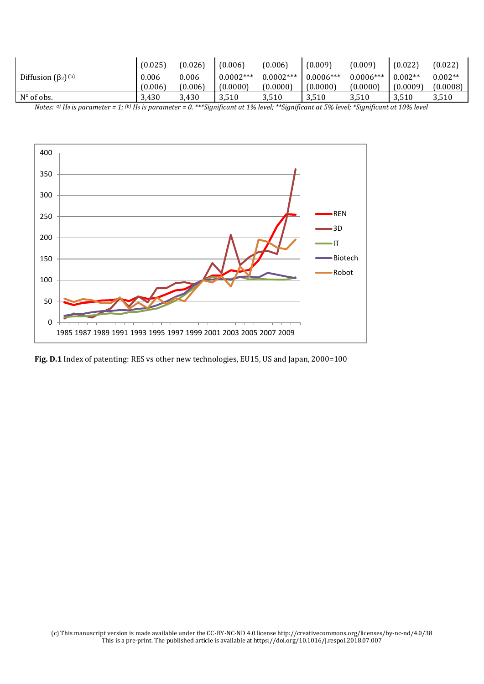|                                      | (0.025) | (0.026) | (0.006)     | (0.006)     | (0.009)     | (0.009)     | (0.022)   | (0.022)   |
|--------------------------------------|---------|---------|-------------|-------------|-------------|-------------|-----------|-----------|
| Diffusion $(\beta_2)$ <sup>(b)</sup> | 0.006   | 0.006   | $0.0002***$ | $0.0002***$ | $0.0006***$ | $0.0006***$ | $0.002**$ | $0.002**$ |
|                                      | (0.006) | (0.006) | (0.0000)    | (0.0000)    | (0.0000)    | (0.0000)    | (0.0009)  | (0.0008)  |
| $N^{\circ}$ of obs.                  | 3,430   | 3,430   | 3,510       | 3,510       | 3,510       | 3,510       | 3,510     | 3,510     |

*Notes: a) H0 is parameter = 1; (b) H0 is parameter = 0. \*\*\*Significant at 1% level; \*\*Significant at 5% level; \*Significant at 10% level* 



Fig. D.1 Index of patenting: RES vs other new technologies, EU15, US and Japan, 2000=100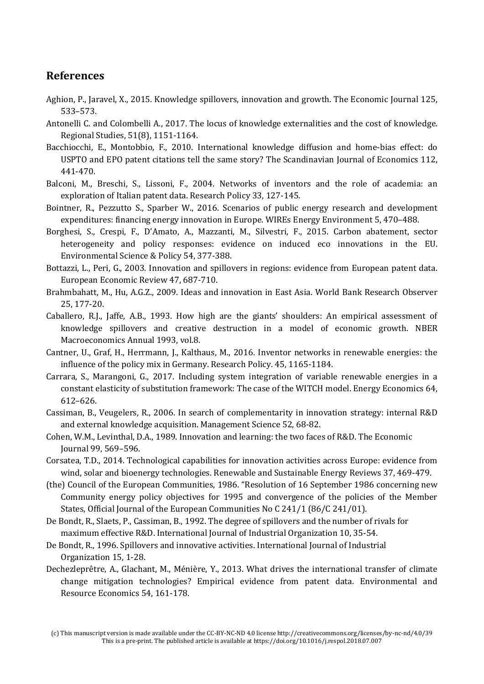#### **References**

- Aghion, P., Jaravel, X., 2015. Knowledge spillovers, innovation and growth. The Economic Journal 125, 533–573.
- Antonelli C. and Colombelli A., 2017. [The locus of knowledge externalities and the cost of knowledge.](https://ideas.repec.org/a/taf/regstd/v51y2017i8p1151-1164.html) [Regional Studies,](https://ideas.repec.org/s/taf/regstd.html) 51(8), 1151-1164.
- Bacchiocchi, E., Montobbio, F., 2010. International knowledge diffusion and home-bias effect: do USPTO and EPO patent citations tell the same story? The Scandinavian Journal of Economics 112, 441-470.
- Balconi, M., Breschi, S., Lissoni, F., 2004. Networks of inventors and the role of academia: an exploration of Italian patent data. Research Policy 33, 127-145.
- Bointner, R., Pezzutto S., Sparber W., 2016. Scenarios of public energy research and development expenditures: financing energy innovation in Europe. WIREs Energy Environment 5, 470–488.
- Borghesi, S., Crespi, F., D'Amato, A., Mazzanti, M., Silvestri, F., 2015. Carbon abatement, sector heterogeneity and policy responses: evidence on induced eco innovations in the EU. Environmental Science & Policy 54, 377-388.
- Bottazzi, L., Peri, G., 2003. Innovation and spillovers in regions: evidence from European patent data. European Economic Review 47, 687-710.
- Brahmbahatt, M., Hu, A.G.Z., 2009. Ideas and innovation in East Asia. World Bank Research Observer 25, 177-20.
- Caballero, R.J., Jaffe, A.B., 1993. How high are the giants' shoulders: An empirical assessment of knowledge spillovers and creative destruction in a model of economic growth. NBER Macroeconomics Annual 1993, vol.8.
- Cantner, U., Graf, H., Herrmann, J., Kalthaus, M., 2016. Inventor networks in renewable energies: the influence of the policy mix in Germany. Research Policy. 45, 1165-1184.
- Carrara, S., Marangoni, G., 2017. Including system integration of variable renewable energies in a constant elasticity of substitution framework: The case of the WITCH model. Energy Economics 64, 612–626.
- Cassiman, B., Veugelers, R., 2006. In search of complementarity in innovation strategy: internal R&D and external knowledge acquisition. Management Science 52, 68-82.
- Cohen, W.M., Levinthal, D.A., 1989. Innovation and learning: the two faces of R&D. The Economic Journal 99, 569–596.
- Corsatea, T.D., 2014. Technological capabilities for innovation activities across Europe: evidence from wind, solar and bioenergy technologies. Renewable and Sustainable Energy Reviews 37, 469-479.
- (the) Council of the European Communities, 1986. "Resolution of 16 September 1986 concerning new Community energy policy objectives for 1995 and convergence of the policies of the Member States, Official Journal of the European Communities No C 241/1 (86/C 241/01).
- De Bondt, R., Slaets, P., Cassiman, B., 1992. The degree of spillovers and the number of rivals for maximum effective R&D. International Journal of Industrial Organization 10, 35-54.
- De Bondt, R., 1996. Spillovers and innovative activities. International Journal of Industrial Organization 15, 1-28.
- Dechezleprêtre, A., Glachant, M., Ménière, Y., 2013. What drives the international transfer of climate change mitigation technologies? Empirical evidence from patent data. Environmental and Resource Economics 54, 161-178.

<sup>(</sup>c) This manuscript version is made available under the CC-BY-NC-ND 4.0 license http://creativecommons.org/licenses/by-nc-nd/4.0/39 This is a pre-print. The published article is available at https://doi.org/10.1016/j.respol.2018.07.007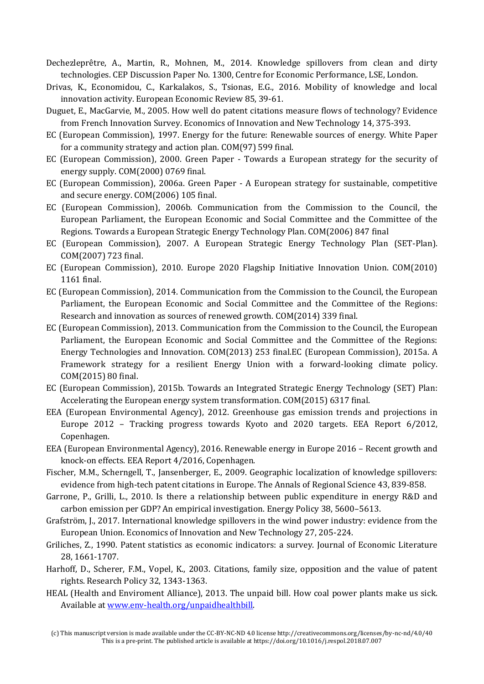- Dechezleprêtre, A., Martin, R., Mohnen, M., 2014. Knowledge spillovers from clean and dirty technologies. CEP Discussion Paper No. 1300, Centre for Economic Performance, LSE, London.
- Drivas, K., Economidou, C., Karkalakos, S., Tsionas, E.G., 2016. Mobility of knowledge and local innovation activity. European Economic Review 85, 39-61.
- Duguet, E., MacGarvie, M., 2005. How well do patent citations measure flows of technology? Evidence from French Innovation Survey. Economics of Innovation and New Technology 14, 375-393.
- EC (European Commission), 1997. Energy for the future: Renewable sources of energy. White Paper for a community strategy and action plan. COM(97) 599 final.
- EC (European Commission), 2000. Green Paper Towards a European strategy for the security of energy supply. COM(2000) 0769 final.
- EC (European Commission), 2006a. Green Paper A European strategy for sustainable, competitive and secure energy. COM(2006) 105 final.
- EC (European Commission), 2006b. Communication from the Commission to the Council, the European Parliament, the European Economic and Social Committee and the Committee of the Regions. Towards a European Strategic Energy Technology Plan. COM(2006) 847 final
- EC (European Commission), 2007. A European Strategic Energy Technology Plan (SET-Plan). COM(2007) 723 final.
- EC (European Commission), 2010. Europe 2020 Flagship Initiative Innovation Union. COM(2010) 1161 final.
- EC (European Commission), 2014. Communication from the Commission to the Council, the European Parliament, the European Economic and Social Committee and the Committee of the Regions: Research and innovation as sources of renewed growth. COM(2014) 339 final.
- EC (European Commission), 2013. Communication from the Commission to the Council, the European Parliament, the European Economic and Social Committee and the Committee of the Regions: Energy Technologies and Innovation. COM(2013) 253 final.EC (European Commission), 2015a. A Framework strategy for a resilient Energy Union with a forward-looking climate policy. COM(2015) 80 final.
- EC (European Commission), 2015b. Towards an Integrated Strategic Energy Technology (SET) Plan: Accelerating the European energy system transformation. COM(2015) 6317 final.
- EEA (European Environmental Agency), 2012. Greenhouse gas emission trends and projections in Europe 2012 – Tracking progress towards Kyoto and 2020 targets. EEA Report 6/2012, Copenhagen.
- EEA (European Environmental Agency), 2016. Renewable energy in Europe 2016 Recent growth and knock-on effects. EEA Report 4/2016, Copenhagen.
- Fischer, M.M., Scherngell, T., Jansenberger, E., 2009. Geographic localization of knowledge spillovers: evidence from high-tech patent citations in Europe. The Annals of Regional Science 43, 839-858.
- Garrone, P., Grilli, L., 2010. Is there a relationship between public expenditure in energy R&D and carbon emission per GDP? An empirical investigation. Energy Policy 38, 5600–5613.
- Grafström, J., 2017. International knowledge spillovers in the wind power industry: evidence from the European Union. Economics of Innovation and New Technology 27, 205-224.
- Griliches, Z., 1990. Patent statistics as economic indicators: a survey. Journal of Economic Literature 28, 1661-1707.
- Harhoff, D., Scherer, F.M., Vopel, K., 2003. Citations, family size, opposition and the value of patent rights. Research Policy 32, 1343-1363.
- HEAL (Health and Enviroment Alliance), 2013. The unpaid bill. How coal power plants make us sick. Available a[t www.env-health.org/unpaidhealthbill.](http://www.env-health.org/unpaidhealthbill)

<sup>(</sup>c) This manuscript version is made available under the CC-BY-NC-ND 4.0 license http://creativecommons.org/licenses/by-nc-nd/4.0/40 This is a pre-print. The published article is available at https://doi.org/10.1016/j.respol.2018.07.007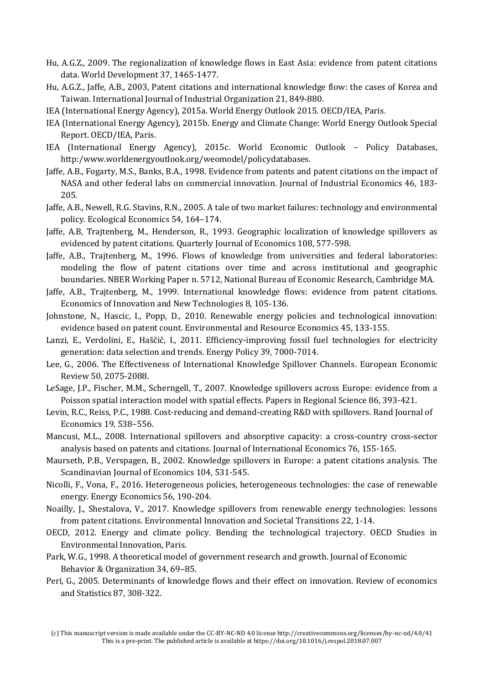- Hu, A.G.Z., 2009. The regionalization of knowledge flows in East Asia: evidence from patent citations data. World Development 37, 1465-1477.
- Hu, A.G.Z., Jaffe, A.B., 2003, Patent citations and international knowledge flow: the cases of Korea and Taiwan. International Journal of Industrial Organization 21, 849-880.
- IEA (International Energy Agency), 2015a. World Energy Outlook 2015. OECD/IEA, Paris.
- IEA (International Energy Agency), 2015b. Energy and Climate Change: World Energy Outlook Special Report. OECD/IEA, Paris.
- IEA (International Energy Agency), 2015c. World Economic Outlook Policy Databases, http:/www.worldenergyoutlook.org/weomodel/policydatabases.
- Jaffe, A.B., Fogarty, M.S., Banks, B.A., 1998. Evidence from patents and patent citations on the impact of NASA and other federal labs on commercial innovation. Journal of Industrial Economics 46, 183- 205.
- Jaffe, A.B., Newell, R.G. Stavins, R.N., 2005. A tale of two market failures: technology and environmental policy. Ecological Economics 54, 164–174.
- Jaffe, A.B, Trajtenberg, M., Henderson, R., 1993. Geographic localization of knowledge spillovers as evidenced by patent citations. Quarterly Journal of Economics 108, 577-598.
- Jaffe, A.B., Trajtenberg, M., 1996. Flows of knowledge from universities and federal laboratories: modeling the flow of patent citations over time and across institutional and geographic boundaries. NBER Working Paper n. 5712, National Bureau of Economic Research, Cambridge MA.
- Jaffe, A.B., Trajtenberg, M., 1999. International knowledge flows: evidence from patent citations. Economics of Innovation and New Technologies 8, 105-136.
- Johnstone, N., Hascic, I., Popp, D., 2010. Renewable energy policies and technological innovation: evidence based on patent count. Environmental and Resource Economics 45, 133-155.
- Lanzi, E., Verdolini, E., Haščič, I., 2011. Efficiency-improving fossil fuel technologies for electricity generation: data selection and trends. Energy Policy 39, 7000-7014.
- Lee, G., 2006. The Effectiveness of International Knowledge Spillover Channels. European Economic Review 50, 2075-2088.
- LeSage, J.P., Fischer, M.M., Scherngell, T., 2007. Knowledge spillovers across Europe: evidence from a Poisson spatial interaction model with spatial effects. Papers in Regional Science 86, 393-421.
- Levin, R.C., Reiss, P.C., 1988. Cost-reducing and demand-creating R&D with spillovers. Rand Journal of Economics 19, 538–556.
- Mancusi, M.L., 2008. International spillovers and absorptive capacity: a cross-country cross-sector analysis based on patents and citations. Journal of International Economics 76, 155-165.
- Maurseth, P.B., Verspagen, B., 2002. Knowledge spillovers in Europe: a patent citations analysis. The Scandinavian Journal of Economics 104, 531-545.
- Nicolli, F., Vona, F., 2016. Heterogeneous policies, heterogeneous technologies: the case of renewable energy. Energy Economics 56, 190-204.
- Noailly, J., Shestalova, V., 2017. Knowledge spillovers from renewable energy technologies: lessons from patent citations. Environmental Innovation and Societal Transitions 22, 1-14.
- OECD, 2012. Energy and climate policy. Bending the technological trajectory. OECD Studies in Environmental Innovation, Paris.
- Park, W.G., 1998. A theoretical model of government research and growth. Journal of Economic Behavior & Organization 34, 69–85.
- Peri, G., 2005. Determinants of knowledge flows and their effect on innovation. Review of economics and Statistics 87, 308-322.

<sup>(</sup>c) This manuscript version is made available under the CC-BY-NC-ND 4.0 license http://creativecommons.org/licenses/by-nc-nd/4.0/41 This is a pre-print. The published article is available at https://doi.org/10.1016/j.respol.2018.07.007